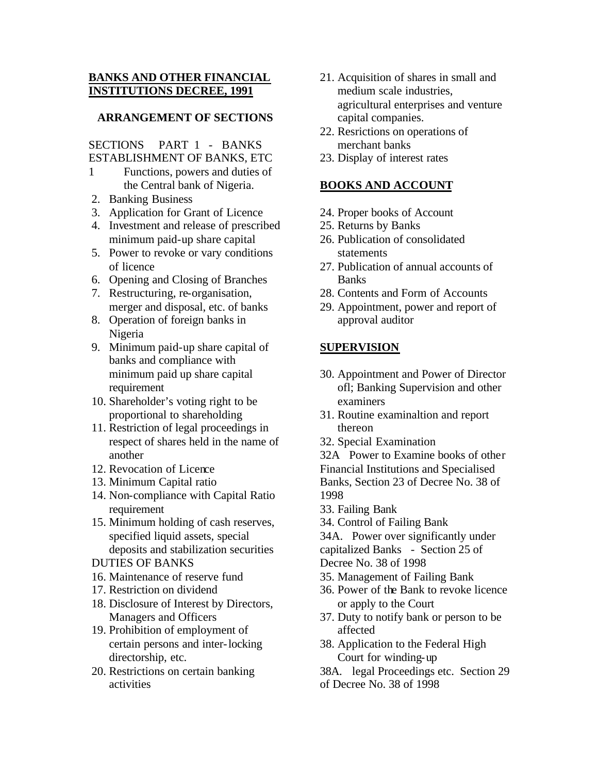# **BANKS AND OTHER FINANCIAL INSTITUTIONS DECREE, 1991**

## **ARRANGEMENT OF SECTIONS**

## SECTIONS PART 1 - BANKS ESTABLISHMENT OF BANKS, ETC

- 1 Functions, powers and duties of the Central bank of Nigeria.
- 2. Banking Business
- 3. Application for Grant of Licence
- 4. Investment and release of prescribed minimum paid-up share capital
- 5. Power to revoke or vary conditions of licence
- 6. Opening and Closing of Branches
- 7. Restructuring, re-organisation, merger and disposal, etc. of banks
- 8. Operation of foreign banks in Nigeria
- 9. Minimum paid-up share capital of banks and compliance with minimum paid up share capital requirement
- 10. Shareholder's voting right to be proportional to shareholding
- 11. Restriction of legal proceedings in respect of shares held in the name of another
- 12. Revocation of Licence
- 13. Minimum Capital ratio
- 14. Non-compliance with Capital Ratio requirement
- 15. Minimum holding of cash reserves, specified liquid assets, special deposits and stabilization securities
- DUTIES OF BANKS
- 16. Maintenance of reserve fund
- 17. Restriction on dividend
- 18. Disclosure of Interest by Directors, Managers and Officers
- 19. Prohibition of employment of certain persons and inter-locking directorship, etc.
- 20. Restrictions on certain banking activities
- 21. Acquisition of shares in small and medium scale industries, agricultural enterprises and venture capital companies.
- 22. Resrictions on operations of merchant banks
- 23. Display of interest rates

# **BOOKS AND ACCOUNT**

- 24. Proper books of Account
- 25. Returns by Banks
- 26. Publication of consolidated statements
- 27. Publication of annual accounts of Banks
- 28. Contents and Form of Accounts
- 29. Appointment, power and report of approval auditor

# **SUPERVISION**

- 30. Appointment and Power of Director ofl; Banking Supervision and other examiners
- 31. Routine examinaltion and report thereon
- 32. Special Examination

32A Power to Examine books of other Financial Institutions and Specialised Banks, Section 23 of Decree No. 38 of 1998

- 33. Failing Bank
- 34. Control of Failing Bank

34A. Power over significantly under capitalized Banks - Section 25 of Decree No. 38 of 1998

- 35. Management of Failing Bank
- 36. Power of the Bank to revoke licence or apply to the Court
- 37. Duty to notify bank or person to be affected
- 38. Application to the Federal High Court for winding-up
- 38A. legal Proceedings etc. Section 29
- of Decree No. 38 of 1998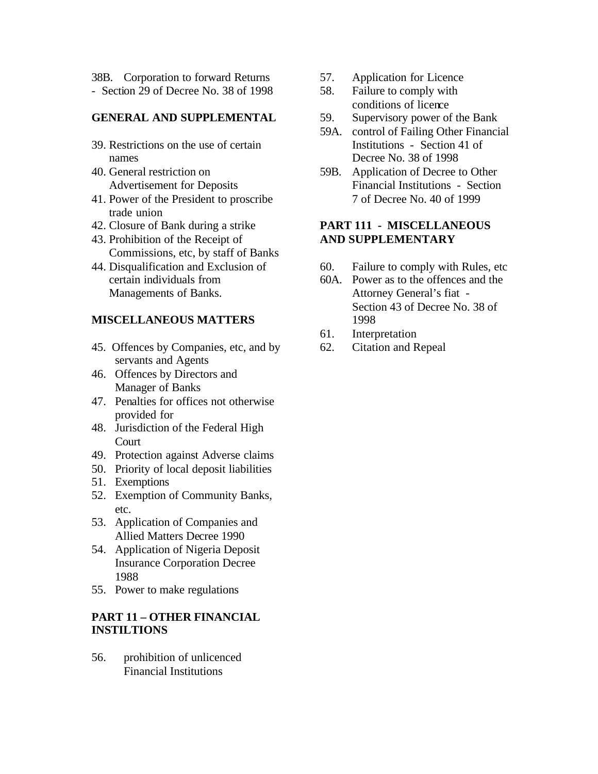38B. Corporation to forward Returns - Section 29 of Decree No. 38 of 1998

## **GENERAL AND SUPPLEMENTAL**

- 39. Restrictions on the use of certain names
- 40. General restriction on Advertisement for Deposits
- 41. Power of the President to proscribe trade union
- 42. Closure of Bank during a strike
- 43. Prohibition of the Receipt of Commissions, etc, by staff of Banks
- 44. Disqualification and Exclusion of certain individuals from Managements of Banks.

## **MISCELLANEOUS MATTERS**

- 45. Offences by Companies, etc, and by servants and Agents
- 46. Offences by Directors and Manager of Banks
- 47. Penalties for offices not otherwise provided for
- 48. Jurisdiction of the Federal High Court
- 49. Protection against Adverse claims
- 50. Priority of local deposit liabilities
- 51. Exemptions
- 52. Exemption of Community Banks, etc.
- 53. Application of Companies and Allied Matters Decree 1990
- 54. Application of Nigeria Deposit Insurance Corporation Decree 1988
- 55. Power to make regulations

## **PART 11 – OTHER FINANCIAL INSTILTIONS**

56. prohibition of unlicenced Financial Institutions

- 57. Application for Licence
- 58. Failure to comply with conditions of licence
- 59. Supervisory power of the Bank
- 59A. control of Failing Other Financial Institutions - Section 41 of Decree No. 38 of 1998
- 59B. Application of Decree to Other Financial Institutions - Section 7 of Decree No. 40 of 1999

# **PART 111 - MISCELLANEOUS AND SUPPLEMENTARY**

- 60. Failure to comply with Rules, etc
- 60A. Power as to the offences and the Attorney General's fiat - Section 43 of Decree No. 38 of 1998
- 61. Interpretation
- 62. Citation and Repeal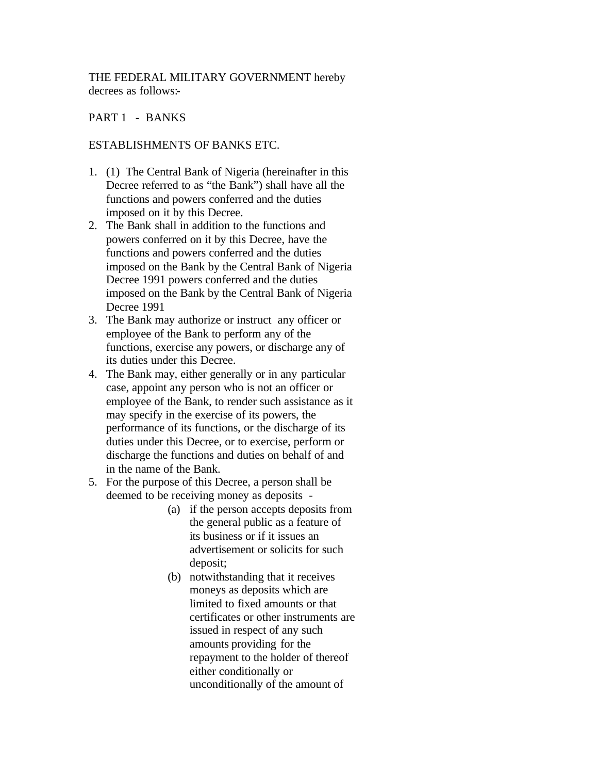THE FEDERAL MILITARY GOVERNMENT hereby decrees as follows:-

## PART 1 - BANKS

#### ESTABLISHMENTS OF BANKS ETC.

- 1. (1) The Central Bank of Nigeria (hereinafter in this Decree referred to as "the Bank") shall have all the functions and powers conferred and the duties imposed on it by this Decree.
- 2. The Bank shall in addition to the functions and powers conferred on it by this Decree, have the functions and powers conferred and the duties imposed on the Bank by the Central Bank of Nigeria Decree 1991 powers conferred and the duties imposed on the Bank by the Central Bank of Nigeria Decree 1991
- 3. The Bank may authorize or instruct any officer or employee of the Bank to perform any of the functions, exercise any powers, or discharge any of its duties under this Decree.
- 4. The Bank may, either generally or in any particular case, appoint any person who is not an officer or employee of the Bank, to render such assistance as it may specify in the exercise of its powers, the performance of its functions, or the discharge of its duties under this Decree, or to exercise, perform or discharge the functions and duties on behalf of and in the name of the Bank.
- 5. For the purpose of this Decree, a person shall be deemed to be receiving money as deposits -
	- (a) if the person accepts deposits from the general public as a feature of its business or if it issues an advertisement or solicits for such deposit;
	- (b) notwithstanding that it receives moneys as deposits which are limited to fixed amounts or that certificates or other instruments are issued in respect of any such amounts providing for the repayment to the holder of thereof either conditionally or unconditionally of the amount of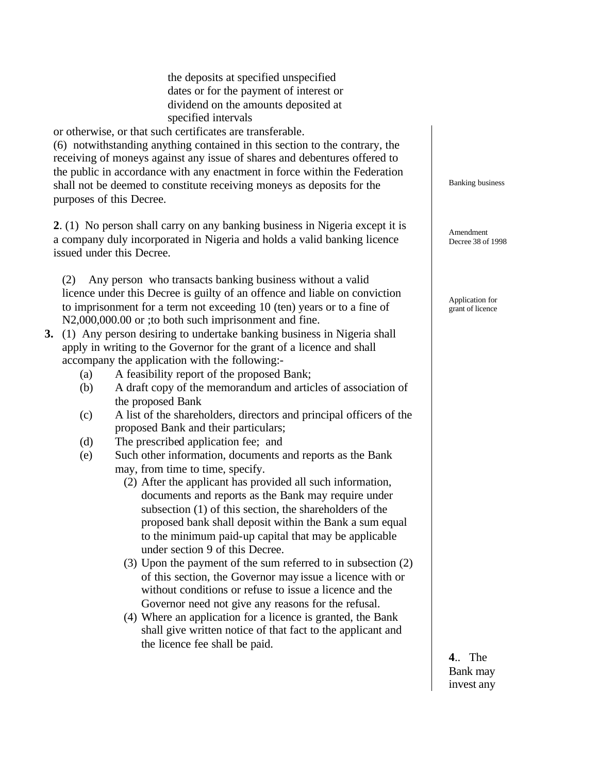the deposits at specified unspecified dates or for the payment of interest or dividend on the amounts deposited at specified intervals

or otherwise, or that such certificates are transferable.

(6) notwithstanding anything contained in this section to the contrary, the receiving of moneys against any issue of shares and debentures offered to the public in accordance with any enactment in force within the Federation shall not be deemed to constitute receiving moneys as deposits for the purposes of this Decree.

**2**. (1) No person shall carry on any banking business in Nigeria except it is a company duly incorporated in Nigeria and holds a valid banking licence issued under this Decree.

(2) Any person who transacts banking business without a valid licence under this Decree is guilty of an offence and liable on conviction to imprisonment for a term not exceeding 10 (ten) years or to a fine of N2,000,000.00 or ; to both such imprisonment and fine.

- **3.** (1) Any person desiring to undertake banking business in Nigeria shall apply in writing to the Governor for the grant of a licence and shall accompany the application with the following:-
	- (a) A feasibility report of the proposed Bank;
	- (b) A draft copy of the memorandum and articles of association of the proposed Bank
	- (c) A list of the shareholders, directors and principal officers of the proposed Bank and their particulars;
	- (d) The prescribed application fee; and
	- (e) Such other information, documents and reports as the Bank may, from time to time, specify.
		- (2) After the applicant has provided all such information, documents and reports as the Bank may require under subsection (1) of this section, the shareholders of the proposed bank shall deposit within the Bank a sum equal to the minimum paid-up capital that may be applicable under section 9 of this Decree.
		- (3) Upon the payment of the sum referred to in subsection (2) of this section, the Governor may issue a licence with or without conditions or refuse to issue a licence and the Governor need not give any reasons for the refusal.
		- (4) Where an application for a licence is granted, the Bank shall give written notice of that fact to the applicant and the licence fee shall be paid.

Banking business

Amendment Decree 38 of 1998

Application for grant of licence

**4**.. The Bank may invest any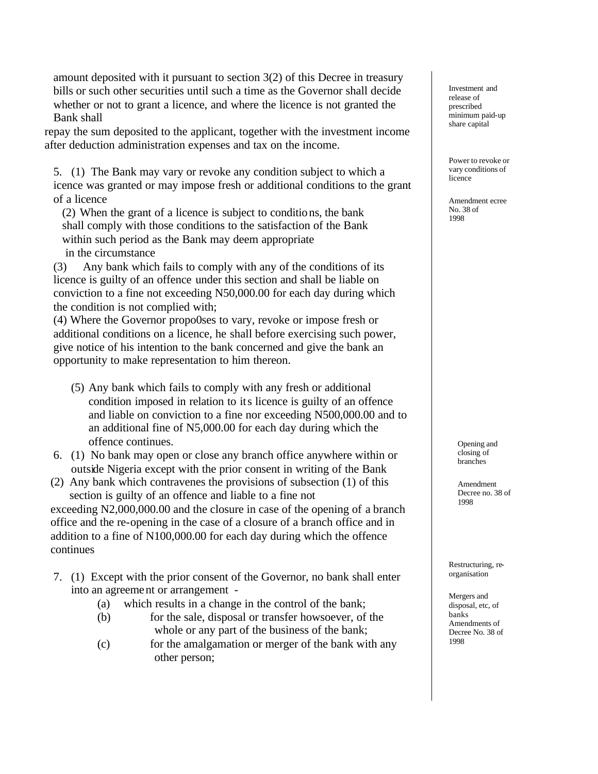amount deposited with it pursuant to section 3(2) of this Decree in treasury bills or such other securities until such a time as the Governor shall decide whether or not to grant a licence, and where the licence is not granted the Bank shall

repay the sum deposited to the applicant, together with the investment income after deduction administration expenses and tax on the income.

5. (1) The Bank may vary or revoke any condition subject to which a icence was granted or may impose fresh or additional conditions to the grant of a licence

(2) When the grant of a licence is subject to conditions, the bank shall comply with those conditions to the satisfaction of the Bank within such period as the Bank may deem appropriate in the circumstance

(3) Any bank which fails to comply with any of the conditions of its licence is guilty of an offence under this section and shall be liable on conviction to a fine not exceeding N50,000.00 for each day during which the condition is not complied with;

(4) Where the Governor propo0ses to vary, revoke or impose fresh or additional conditions on a licence, he shall before exercising such power, give notice of his intention to the bank concerned and give the bank an opportunity to make representation to him thereon.

- (5) Any bank which fails to comply with any fresh or additional condition imposed in relation to its licence is guilty of an offence and liable on conviction to a fine nor exceeding N500,000.00 and to an additional fine of N5,000.00 for each day during which the offence continues.
- 6. (1) No bank may open or close any branch office anywhere within or outside Nigeria except with the prior consent in writing of the Bank
- (2) Any bank which contravenes the provisions of subsection (1) of this section is guilty of an offence and liable to a fine not

exceeding N2,000,000.00 and the closure in case of the opening of a branch office and the re-opening in the case of a closure of a branch office and in addition to a fine of N100,000.00 for each day during which the offence continues

- 7. (1) Except with the prior consent of the Governor, no bank shall enter into an agreement or arrangement -
	- (a) which results in a change in the control of the bank;
	- (b) for the sale, disposal or transfer howsoever, of the whole or any part of the business of the bank;
	- (c) for the amalgamation or merger of the bank with any other person;

Investment and release of prescribed minimum paid-up share capital

Power to revoke or vary conditions of licence

Amendment ecree No. 38 of 1998

> Opening and closing of branches

Amendment Decree no. 38 of 1998

Restructuring, reorganisation

Mergers and disposal, etc, of banks Amendments of Decree No. 38 of 1998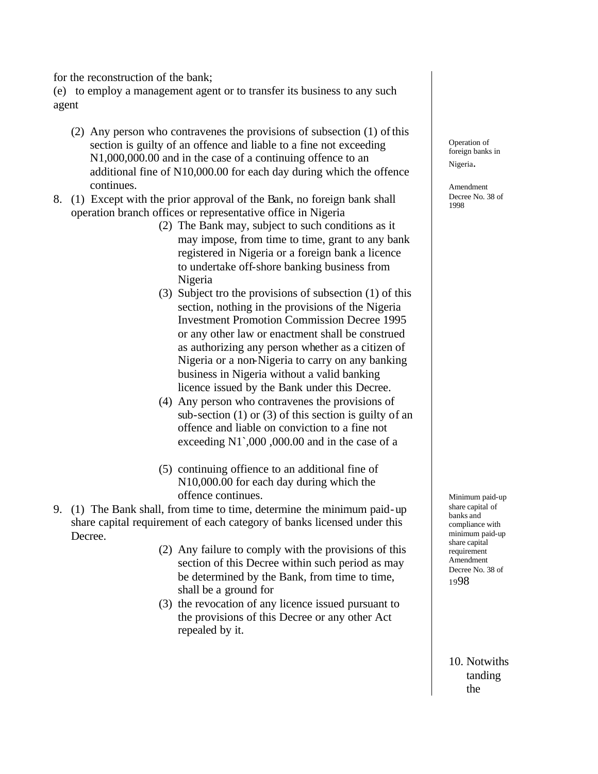for the reconstruction of the bank;

(e) to employ a management agent or to transfer its business to any such agent

- (2) Any person who contravenes the provisions of subsection (1) of this section is guilty of an offence and liable to a fine not exceeding N1,000,000.00 and in the case of a continuing offence to an additional fine of N10,000.00 for each day during which the offence continues.
- 8. (1) Except with the prior approval of the Bank, no foreign bank shall operation branch offices or representative office in Nigeria
	- (2) The Bank may, subject to such conditions as it may impose, from time to time, grant to any bank registered in Nigeria or a foreign bank a licence to undertake off-shore banking business from Nigeria
	- (3) Subject tro the provisions of subsection (1) of this section, nothing in the provisions of the Nigeria Investment Promotion Commission Decree 1995 or any other law or enactment shall be construed as authorizing any person whether as a citizen of Nigeria or a non-Nigeria to carry on any banking business in Nigeria without a valid banking licence issued by the Bank under this Decree.
	- (4) Any person who contravenes the provisions of sub-section  $(1)$  or  $(3)$  of this section is guilty of an offence and liable on conviction to a fine not exceeding N1`,000 ,000.00 and in the case of a
	- (5) continuing offience to an additional fine of N10,000.00 for each day during which the offence continues.
- 9. (1) The Bank shall, from time to time, determine the minimum paid-up share capital requirement of each category of banks licensed under this Decree.
	- (2) Any failure to comply with the provisions of this section of this Decree within such period as may be determined by the Bank, from time to time, shall be a ground for
	- (3) the revocation of any licence issued pursuant to the provisions of this Decree or any other Act repealed by it.

Operation of foreign banks in Nigeria.

Amendment Decree No. 38 of 1998

Minimum paid-up share capital of banks and compliance with minimum paid-up share capital requirement Amendment Decree No. 38 of <sup>19</sup>98

10. Notwiths tanding the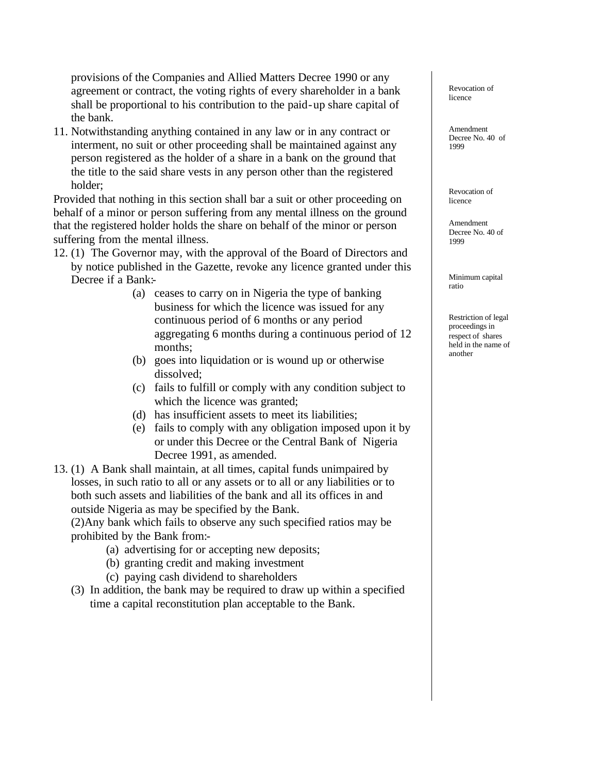provisions of the Companies and Allied Matters Decree 1990 or any agreement or contract, the voting rights of every shareholder in a bank shall be proportional to his contribution to the paid-up share capital of the bank.

11. Notwithstanding anything contained in any law or in any contract or interment, no suit or other proceeding shall be maintained against any person registered as the holder of a share in a bank on the ground that the title to the said share vests in any person other than the registered holder;

Provided that nothing in this section shall bar a suit or other proceeding on behalf of a minor or person suffering from any mental illness on the ground that the registered holder holds the share on behalf of the minor or person suffering from the mental illness.

12. (1) The Governor may, with the approval of the Board of Directors and by notice published in the Gazette, revoke any licence granted under this

Decree if a Bank:-

- (a) ceases to carry on in Nigeria the type of banking business for which the licence was issued for any continuous period of 6 months or any period aggregating 6 months during a continuous period of 12 months;
- (b) goes into liquidation or is wound up or otherwise dissolved;
- (c) fails to fulfill or comply with any condition subject to which the licence was granted;
- (d) has insufficient assets to meet its liabilities;
- (e) fails to comply with any obligation imposed upon it by or under this Decree or the Central Bank of Nigeria Decree 1991, as amended.
- 13. (1) A Bank shall maintain, at all times, capital funds unimpaired by losses, in such ratio to all or any assets or to all or any liabilities or to both such assets and liabilities of the bank and all its offices in and outside Nigeria as may be specified by the Bank.

(2)Any bank which fails to observe any such specified ratios may be prohibited by the Bank from:-

- (a) advertising for or accepting new deposits;
- (b) granting credit and making investment
- (c) paying cash dividend to shareholders
- (3) In addition, the bank may be required to draw up within a specified time a capital reconstitution plan acceptable to the Bank.

Revocation of licence

Amendment Decree No. 40 of 1999

Revocation of licence

Amendment Decree No. 40 of 1999

Minimum capital ratio

Restriction of legal proceedings in respect of shares held in the name of another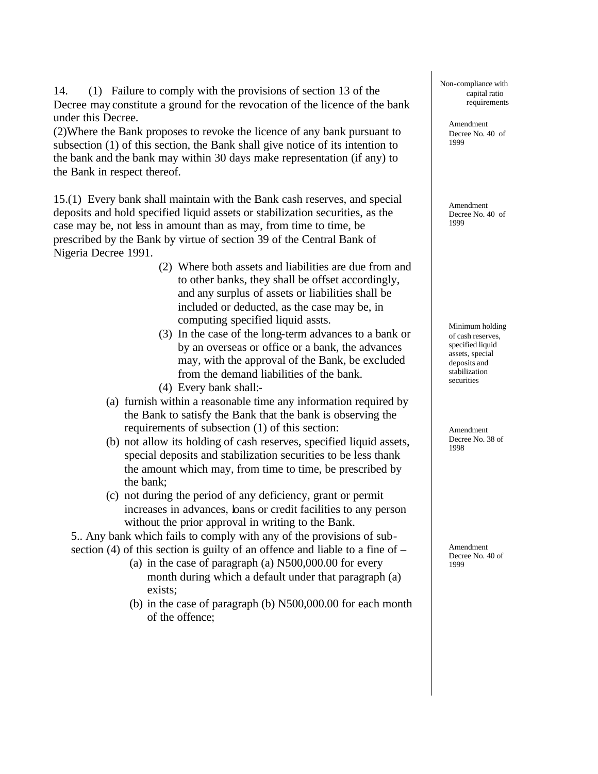14. (1) Failure to comply with the provisions of section 13 of the Decree may constitute a ground for the revocation of the licence of the bank under this Decree.

(2)Where the Bank proposes to revoke the licence of any bank pursuant to subsection (1) of this section, the Bank shall give notice of its intention to the bank and the bank may within 30 days make representation (if any) to the Bank in respect thereof.

15.(1) Every bank shall maintain with the Bank cash reserves, and special deposits and hold specified liquid assets or stabilization securities, as the case may be, not less in amount than as may, from time to time, be prescribed by the Bank by virtue of section 39 of the Central Bank of Nigeria Decree 1991.

- (2) Where both assets and liabilities are due from and to other banks, they shall be offset accordingly, and any surplus of assets or liabilities shall be included or deducted, as the case may be, in computing specified liquid assts.
- (3) In the case of the long-term advances to a bank or by an overseas or office or a bank, the advances may, with the approval of the Bank, be excluded from the demand liabilities of the bank.
- (4) Every bank shall:-
- (a) furnish within a reasonable time any information required by the Bank to satisfy the Bank that the bank is observing the requirements of subsection (1) of this section:
- (b) not allow its holding of cash reserves, specified liquid assets, special deposits and stabilization securities to be less thank the amount which may, from time to time, be prescribed by the bank;
- (c) not during the period of any deficiency, grant or permit increases in advances, loans or credit facilities to any person without the prior approval in writing to the Bank.

5.. Any bank which fails to comply with any of the provisions of subsection (4) of this section is guilty of an offence and liable to a fine of –

- (a) in the case of paragraph (a) N500,000.00 for every month during which a default under that paragraph (a) exists;
- (b) in the case of paragraph (b) N500,000.00 for each month of the offence;

Non-compliance with capital ratio requirements

Amendment Decree No. 40 of 1999

Amendment Decree No. 40 of 1999

Minimum holding of cash reserves, specified liquid assets, special deposits and stabilization securities

Amendment Decree No. 38 of 1998

Amendment Decree No. 40 of 1999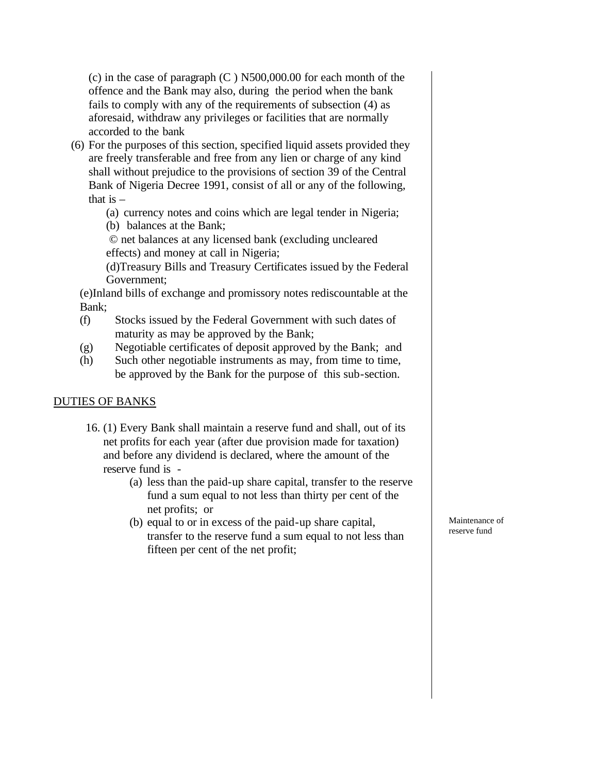(c) in the case of paragraph (C ) N500,000.00 for each month of the offence and the Bank may also, during the period when the bank fails to comply with any of the requirements of subsection (4) as aforesaid, withdraw any privileges or facilities that are normally accorded to the bank

- (6) For the purposes of this section, specified liquid assets provided they are freely transferable and free from any lien or charge of any kind shall without prejudice to the provisions of section 39 of the Central Bank of Nigeria Decree 1991, consist of all or any of the following, that is  $-$ 
	- (a) currency notes and coins which are legal tender in Nigeria;
	- (b) balances at the Bank;

© net balances at any licensed bank (excluding uncleared effects) and money at call in Nigeria;

(d)Treasury Bills and Treasury Certificates issued by the Federal Government;

(e)Inland bills of exchange and promissory notes rediscountable at the Bank;

- (f) Stocks issued by the Federal Government with such dates of maturity as may be approved by the Bank;
- (g) Negotiable certificates of deposit approved by the Bank; and
- (h) Such other negotiable instruments as may, from time to time, be approved by the Bank for the purpose of this sub-section.

## DUTIES OF BANKS

- 16. (1) Every Bank shall maintain a reserve fund and shall, out of its net profits for each year (after due provision made for taxation) and before any dividend is declared, where the amount of the reserve fund is -
	- (a) less than the paid-up share capital, transfer to the reserve fund a sum equal to not less than thirty per cent of the net profits; or
	- (b) equal to or in excess of the paid-up share capital, transfer to the reserve fund a sum equal to not less than fifteen per cent of the net profit;

Maintenance of reserve fund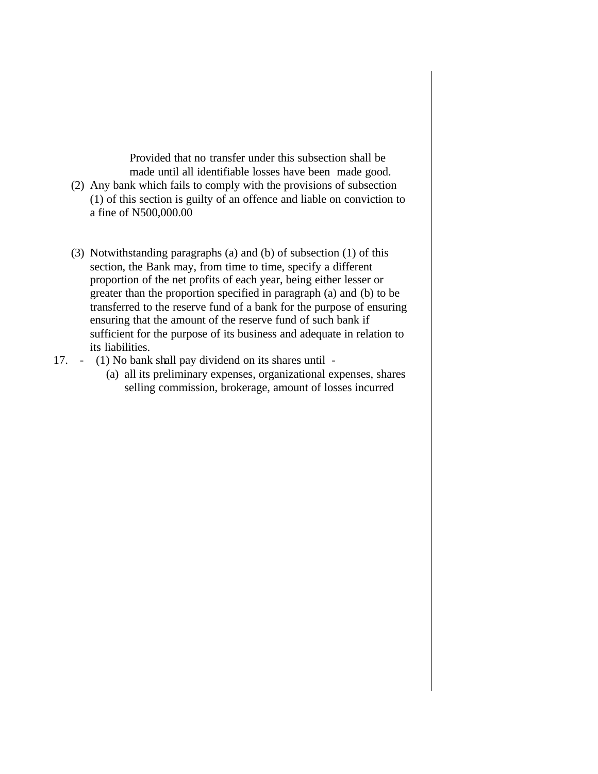Provided that no transfer under this subsection shall be made until all identifiable losses have been made good. (2) Any bank which fails to comply with the provisions of subsection (1) of this section is guilty of an offence and liable on conviction to a fine of N500,000.00

- (3) Notwithstanding paragraphs (a) and (b) of subsection (1) of this section, the Bank may, from time to time, specify a different proportion of the net profits of each year, being either lesser or greater than the proportion specified in paragraph (a) and (b) to be transferred to the reserve fund of a bank for the purpose of ensuring ensuring that the amount of the reserve fund of such bank if sufficient for the purpose of its business and adequate in relation to its liabilities.
- 17. (1) No bank shall pay dividend on its shares until
	- (a) all its preliminary expenses, organizational expenses, shares selling commission, brokerage, amount of losses incurred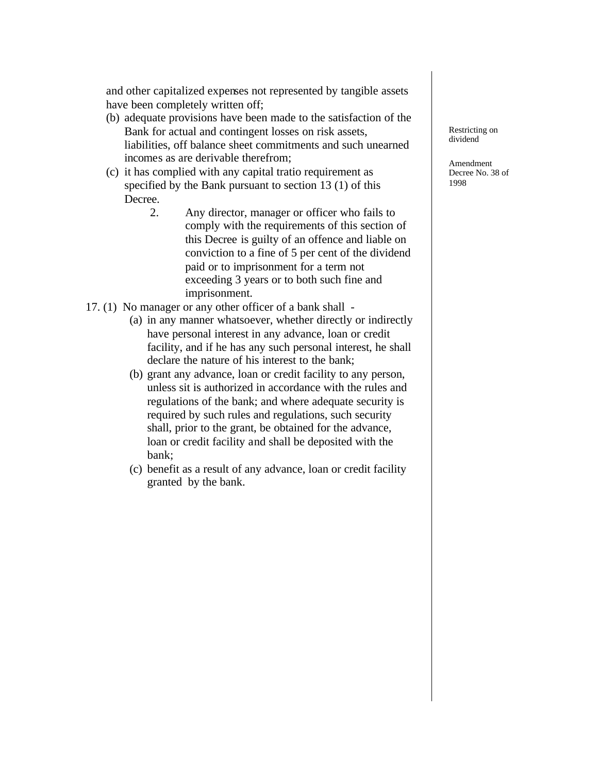and other capitalized expenses not represented by tangible assets have been completely written off;

- (b) adequate provisions have been made to the satisfaction of the Bank for actual and contingent losses on risk assets, liabilities, off balance sheet commitments and such unearned incomes as are derivable therefrom;
- (c) it has complied with any capital tratio requirement as specified by the Bank pursuant to section 13 (1) of this Decree.
	- 2. Any director, manager or officer who fails to comply with the requirements of this section of this Decree is guilty of an offence and liable on conviction to a fine of 5 per cent of the dividend paid or to imprisonment for a term not exceeding 3 years or to both such fine and imprisonment.
- 17. (1) No manager or any other officer of a bank shall
	- (a) in any manner whatsoever, whether directly or indirectly have personal interest in any advance, loan or credit facility, and if he has any such personal interest, he shall declare the nature of his interest to the bank;
	- (b) grant any advance, loan or credit facility to any person, unless sit is authorized in accordance with the rules and regulations of the bank; and where adequate security is required by such rules and regulations, such security shall, prior to the grant, be obtained for the advance, loan or credit facility and shall be deposited with the bank;
	- (c) benefit as a result of any advance, loan or credit facility granted by the bank.

Restricting on dividend

Amendment Decree No. 38 of 1998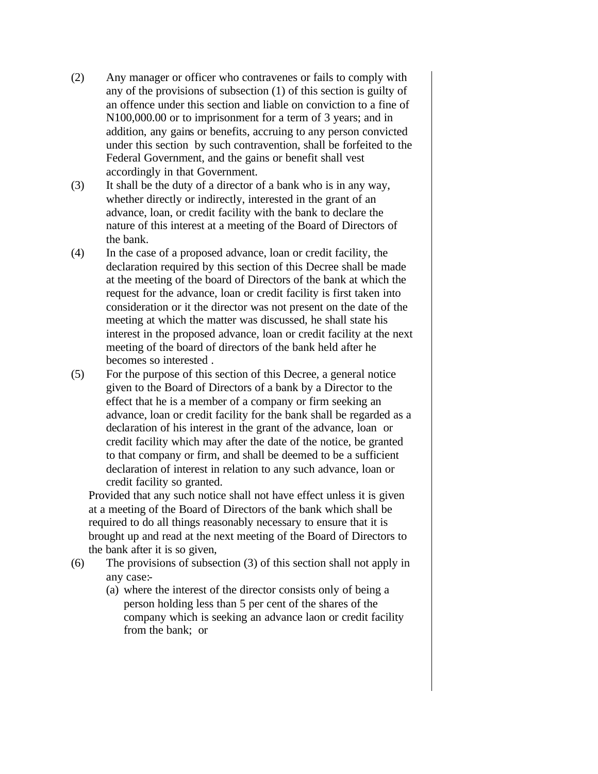- (2) Any manager or officer who contravenes or fails to comply with any of the provisions of subsection (1) of this section is guilty of an offence under this section and liable on conviction to a fine of N100,000.00 or to imprisonment for a term of 3 years; and in addition, any gains or benefits, accruing to any person convicted under this section by such contravention, shall be forfeited to the Federal Government, and the gains or benefit shall vest accordingly in that Government.
- (3) It shall be the duty of a director of a bank who is in any way, whether directly or indirectly, interested in the grant of an advance, loan, or credit facility with the bank to declare the nature of this interest at a meeting of the Board of Directors of the bank.
- (4) In the case of a proposed advance, loan or credit facility, the declaration required by this section of this Decree shall be made at the meeting of the board of Directors of the bank at which the request for the advance, loan or credit facility is first taken into consideration or it the director was not present on the date of the meeting at which the matter was discussed, he shall state his interest in the proposed advance, loan or credit facility at the next meeting of the board of directors of the bank held after he becomes so interested .
- (5) For the purpose of this section of this Decree, a general notice given to the Board of Directors of a bank by a Director to the effect that he is a member of a company or firm seeking an advance, loan or credit facility for the bank shall be regarded as a declaration of his interest in the grant of the advance, loan or credit facility which may after the date of the notice, be granted to that company or firm, and shall be deemed to be a sufficient declaration of interest in relation to any such advance, loan or credit facility so granted.

Provided that any such notice shall not have effect unless it is given at a meeting of the Board of Directors of the bank which shall be required to do all things reasonably necessary to ensure that it is brought up and read at the next meeting of the Board of Directors to the bank after it is so given,

- (6) The provisions of subsection (3) of this section shall not apply in any case:-
	- (a) where the interest of the director consists only of being a person holding less than 5 per cent of the shares of the company which is seeking an advance laon or credit facility from the bank; or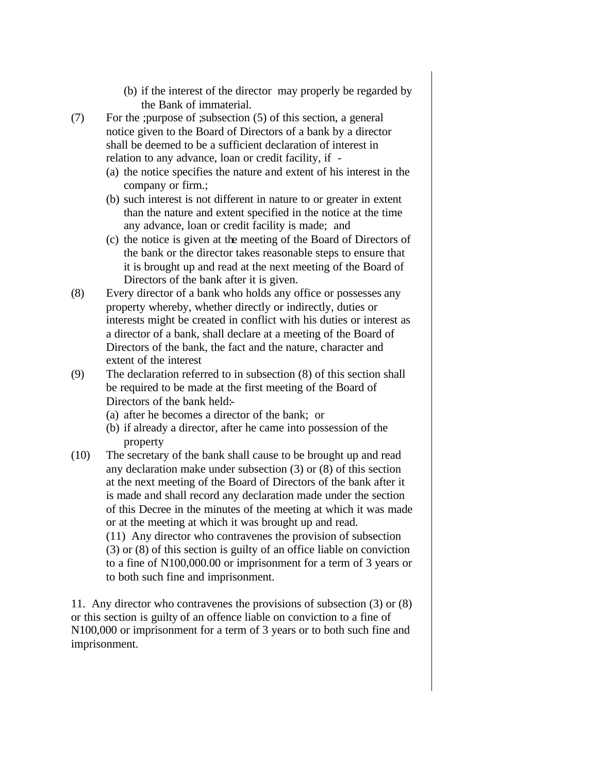- (b) if the interest of the director may properly be regarded by the Bank of immaterial.
- (7) For the ;purpose of ;subsection (5) of this section, a general notice given to the Board of Directors of a bank by a director shall be deemed to be a sufficient declaration of interest in relation to any advance, loan or credit facility, if -
	- (a) the notice specifies the nature and extent of his interest in the company or firm.;
	- (b) such interest is not different in nature to or greater in extent than the nature and extent specified in the notice at the time any advance, loan or credit facility is made; and
	- (c) the notice is given at the meeting of the Board of Directors of the bank or the director takes reasonable steps to ensure that it is brought up and read at the next meeting of the Board of Directors of the bank after it is given.
- (8) Every director of a bank who holds any office or possesses any property whereby, whether directly or indirectly, duties or interests might be created in conflict with his duties or interest as a director of a bank, shall declare at a meeting of the Board of Directors of the bank, the fact and the nature, character and extent of the interest
- (9) The declaration referred to in subsection (8) of this section shall be required to be made at the first meeting of the Board of Directors of the bank held:-
	- (a) after he becomes a director of the bank; or
	- (b) if already a director, after he came into possession of the property
- (10) The secretary of the bank shall cause to be brought up and read any declaration make under subsection (3) or (8) of this section at the next meeting of the Board of Directors of the bank after it is made and shall record any declaration made under the section of this Decree in the minutes of the meeting at which it was made or at the meeting at which it was brought up and read. (11) Any director who contravenes the provision of subsection (3) or (8) of this section is guilty of an office liable on conviction to a fine of N100,000.00 or imprisonment for a term of 3 years or

to both such fine and imprisonment.

11. Any director who contravenes the provisions of subsection (3) or (8) or this section is guilty of an offence liable on conviction to a fine of N100,000 or imprisonment for a term of 3 years or to both such fine and imprisonment.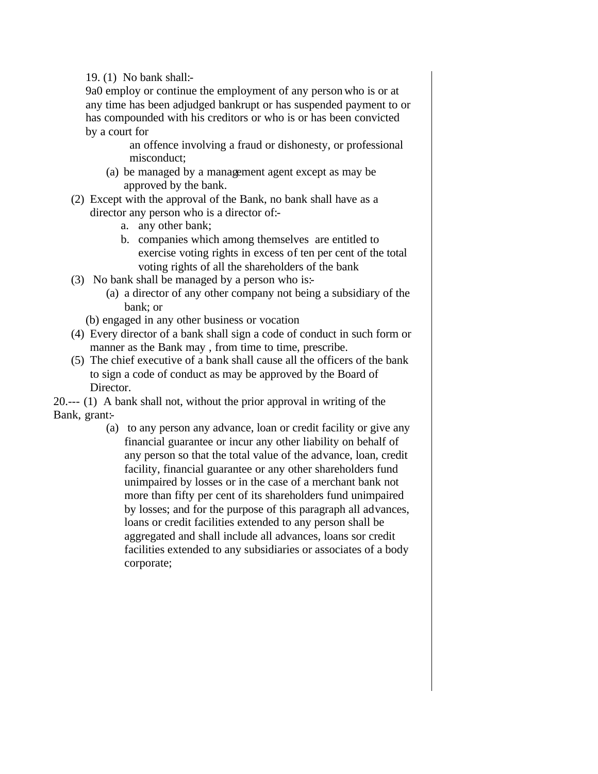19. (1) No bank shall:-

9a0 employ or continue the employment of any person who is or at any time has been adjudged bankrupt or has suspended payment to or has compounded with his creditors or who is or has been convicted by a court for

an offence involving a fraud or dishonesty, or professional misconduct;

- (a) be managed by a management agent except as may be approved by the bank.
- (2) Except with the approval of the Bank, no bank shall have as a director any person who is a director of:
	- a. any other bank;
	- b. companies which among themselves are entitled to exercise voting rights in excess of ten per cent of the total voting rights of all the shareholders of the bank
- (3) No bank shall be managed by a person who is:-
	- (a) a director of any other company not being a subsidiary of the bank; or
	- (b) engaged in any other business or vocation
- (4) Every director of a bank shall sign a code of conduct in such form or manner as the Bank may , from time to time, prescribe.
- (5) The chief executive of a bank shall cause all the officers of the bank to sign a code of conduct as may be approved by the Board of Director.

20.--- (1) A bank shall not, without the prior approval in writing of the Bank, grant:-

(a) to any person any advance, loan or credit facility or give any financial guarantee or incur any other liability on behalf of any person so that the total value of the advance, loan, credit facility, financial guarantee or any other shareholders fund unimpaired by losses or in the case of a merchant bank not more than fifty per cent of its shareholders fund unimpaired by losses; and for the purpose of this paragraph all advances, loans or credit facilities extended to any person shall be aggregated and shall include all advances, loans sor credit facilities extended to any subsidiaries or associates of a body corporate;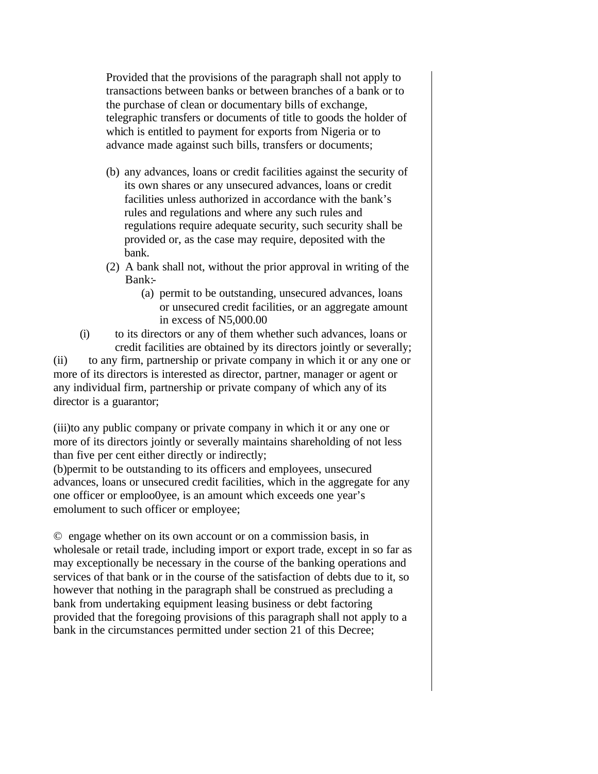Provided that the provisions of the paragraph shall not apply to transactions between banks or between branches of a bank or to the purchase of clean or documentary bills of exchange, telegraphic transfers or documents of title to goods the holder of which is entitled to payment for exports from Nigeria or to advance made against such bills, transfers or documents;

- (b) any advances, loans or credit facilities against the security of its own shares or any unsecured advances, loans or credit facilities unless authorized in accordance with the bank's rules and regulations and where any such rules and regulations require adequate security, such security shall be provided or, as the case may require, deposited with the bank.
- (2) A bank shall not, without the prior approval in writing of the Bank:-
	- (a) permit to be outstanding, unsecured advances, loans or unsecured credit facilities, or an aggregate amount in excess of N5,000.00
- (i) to its directors or any of them whether such advances, loans or credit facilities are obtained by its directors jointly or severally;

(ii) to any firm, partnership or private company in which it or any one or more of its directors is interested as director, partner, manager or agent or any individual firm, partnership or private company of which any of its director is a guarantor;

(iii)to any public company or private company in which it or any one or more of its directors jointly or severally maintains shareholding of not less than five per cent either directly or indirectly;

(b)permit to be outstanding to its officers and employees, unsecured advances, loans or unsecured credit facilities, which in the aggregate for any one officer or emploo0yee, is an amount which exceeds one year's emolument to such officer or employee;

© engage whether on its own account or on a commission basis, in wholesale or retail trade, including import or export trade, except in so far as may exceptionally be necessary in the course of the banking operations and services of that bank or in the course of the satisfaction of debts due to it, so however that nothing in the paragraph shall be construed as precluding a bank from undertaking equipment leasing business or debt factoring provided that the foregoing provisions of this paragraph shall not apply to a bank in the circumstances permitted under section 21 of this Decree;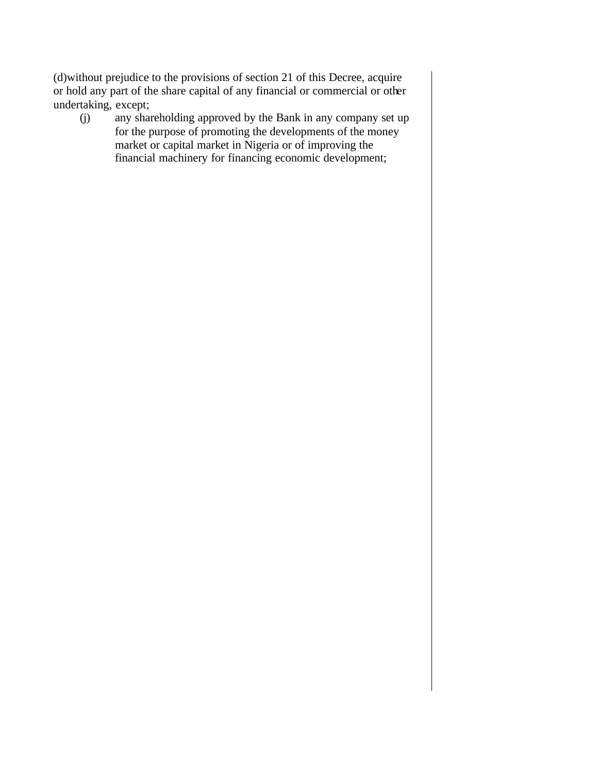(d)without prejudice to the provisions of section 21 of this Decree, acquire or hold any part of the share capital of any financial or commercial or other undertaking, except;

(j) any shareholding approved by the Bank in any company set up for the purpose of promoting the developments of the money market or capital market in Nigeria or of improving the financial machinery for financing economic development;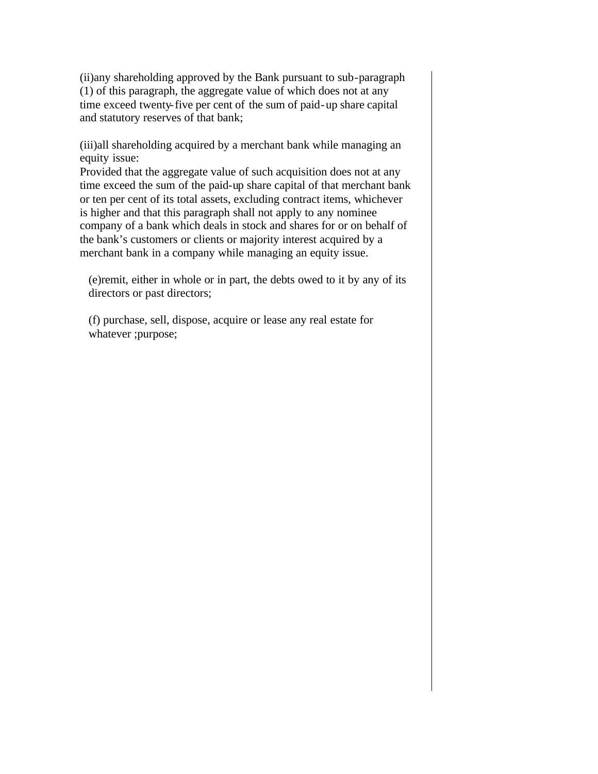(ii)any shareholding approved by the Bank pursuant to sub-paragraph (1) of this paragraph, the aggregate value of which does not at any time exceed twenty-five per cent of the sum of paid-up share capital and statutory reserves of that bank;

(iii)all shareholding acquired by a merchant bank while managing an equity issue:

Provided that the aggregate value of such acquisition does not at any time exceed the sum of the paid-up share capital of that merchant bank or ten per cent of its total assets, excluding contract items, whichever is higher and that this paragraph shall not apply to any nominee company of a bank which deals in stock and shares for or on behalf of the bank's customers or clients or majority interest acquired by a merchant bank in a company while managing an equity issue.

(e)remit, either in whole or in part, the debts owed to it by any of its directors or past directors;

(f) purchase, sell, dispose, acquire or lease any real estate for whatever ;purpose;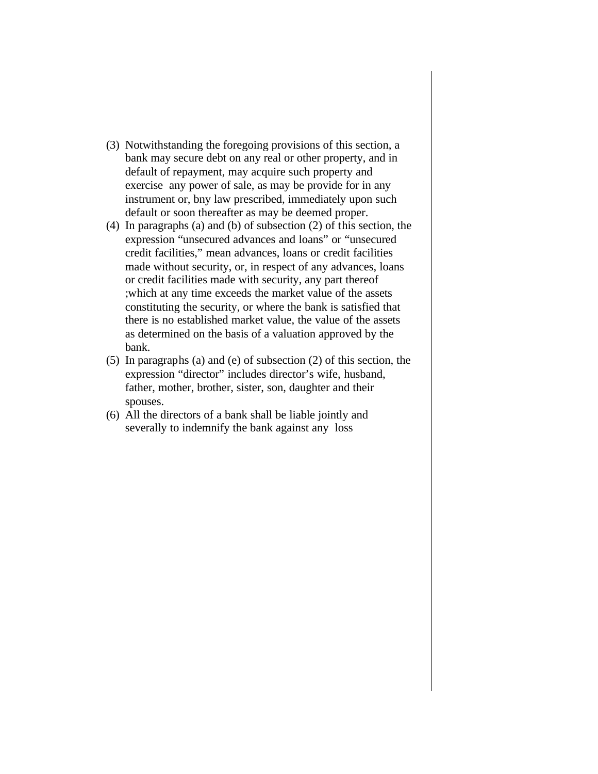- (3) Notwithstanding the foregoing provisions of this section, a bank may secure debt on any real or other property, and in default of repayment, may acquire such property and exercise any power of sale, as may be provide for in any instrument or, bny law prescribed, immediately upon such default or soon thereafter as may be deemed proper.
- (4) In paragraphs (a) and (b) of subsection (2) of this section, the expression "unsecured advances and loans" or "unsecured credit facilities," mean advances, loans or credit facilities made without security, or, in respect of any advances, loans or credit facilities made with security, any part thereof ;which at any time exceeds the market value of the assets constituting the security, or where the bank is satisfied that there is no established market value, the value of the assets as determined on the basis of a valuation approved by the bank.
- (5) In paragraphs (a) and (e) of subsection (2) of this section, the expression "director" includes director's wife, husband, father, mother, brother, sister, son, daughter and their spouses.
- (6) All the directors of a bank shall be liable jointly and severally to indemnify the bank against any loss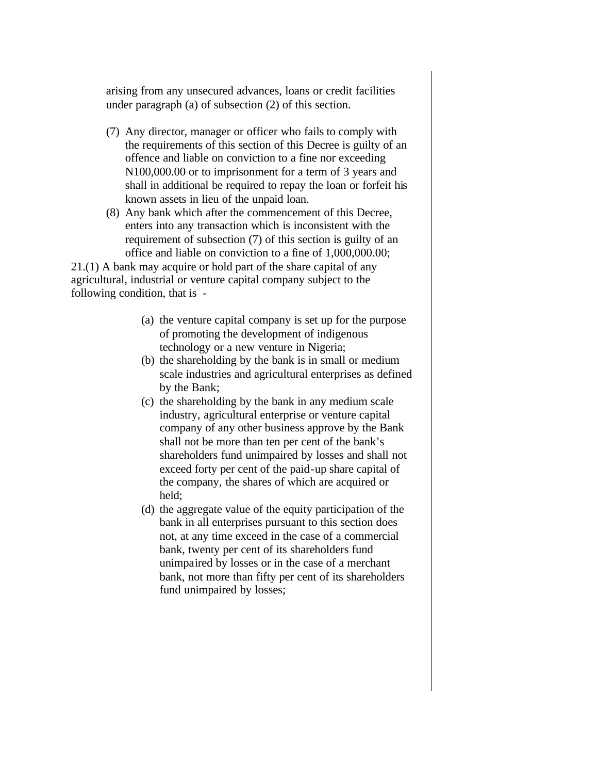arising from any unsecured advances, loans or credit facilities under paragraph (a) of subsection (2) of this section.

- (7) Any director, manager or officer who fails to comply with the requirements of this section of this Decree is guilty of an offence and liable on conviction to a fine nor exceeding N100,000.00 or to imprisonment for a term of 3 years and shall in additional be required to repay the loan or forfeit his known assets in lieu of the unpaid loan.
- (8) Any bank which after the commencement of this Decree, enters into any transaction which is inconsistent with the requirement of subsection (7) of this section is guilty of an office and liable on conviction to a fine of 1,000,000.00;

21.(1) A bank may acquire or hold part of the share capital of any agricultural, industrial or venture capital company subject to the following condition, that is -

- (a) the venture capital company is set up for the purpose of promoting the development of indigenous technology or a new venture in Nigeria;
- (b) the shareholding by the bank is in small or medium scale industries and agricultural enterprises as defined by the Bank;
- (c) the shareholding by the bank in any medium scale industry, agricultural enterprise or venture capital company of any other business approve by the Bank shall not be more than ten per cent of the bank's shareholders fund unimpaired by losses and shall not exceed forty per cent of the paid-up share capital of the company, the shares of which are acquired or held;
- (d) the aggregate value of the equity participation of the bank in all enterprises pursuant to this section does not, at any time exceed in the case of a commercial bank, twenty per cent of its shareholders fund unimpaired by losses or in the case of a merchant bank, not more than fifty per cent of its shareholders fund unimpaired by losses;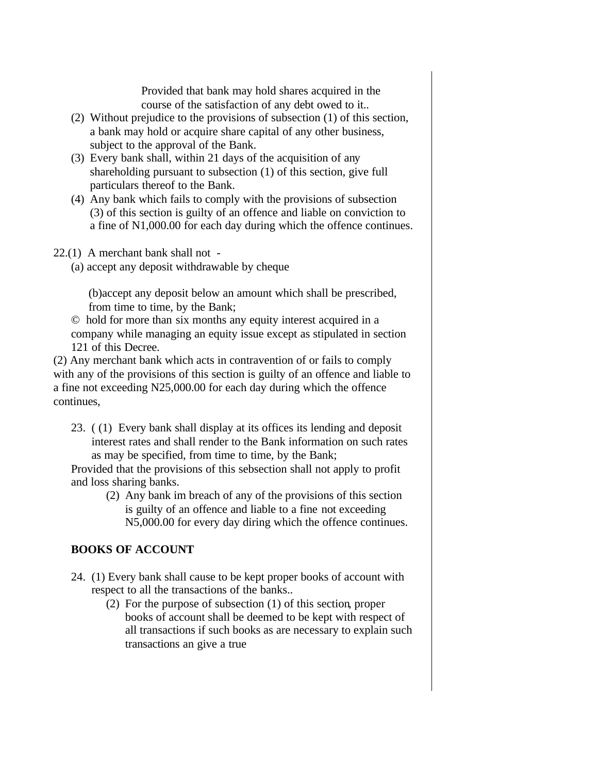Provided that bank may hold shares acquired in the course of the satisfaction of any debt owed to it..

- (2) Without prejudice to the provisions of subsection (1) of this section, a bank may hold or acquire share capital of any other business, subject to the approval of the Bank.
- (3) Every bank shall, within 21 days of the acquisition of any shareholding pursuant to subsection (1) of this section, give full particulars thereof to the Bank.
- (4) Any bank which fails to comply with the provisions of subsection (3) of this section is guilty of an offence and liable on conviction to a fine of N1,000.00 for each day during which the offence continues.
- 22.(1) A merchant bank shall not
	- (a) accept any deposit withdrawable by cheque

(b)accept any deposit below an amount which shall be prescribed, from time to time, by the Bank;

© hold for more than six months any equity interest acquired in a company while managing an equity issue except as stipulated in section 121 of this Decree.

(2) Any merchant bank which acts in contravention of or fails to comply with any of the provisions of this section is guilty of an offence and liable to a fine not exceeding N25,000.00 for each day during which the offence continues,

23. ( (1) Every bank shall display at its offices its lending and deposit interest rates and shall render to the Bank information on such rates as may be specified, from time to time, by the Bank;

Provided that the provisions of this sebsection shall not apply to profit and loss sharing banks.

(2) Any bank im breach of any of the provisions of this section is guilty of an offence and liable to a fine not exceeding N5,000.00 for every day diring which the offence continues.

# **BOOKS OF ACCOUNT**

- 24. (1) Every bank shall cause to be kept proper books of account with respect to all the transactions of the banks..
	- (2) For the purpose of subsection (1) of this section, proper books of account shall be deemed to be kept with respect of all transactions if such books as are necessary to explain such transactions an give a true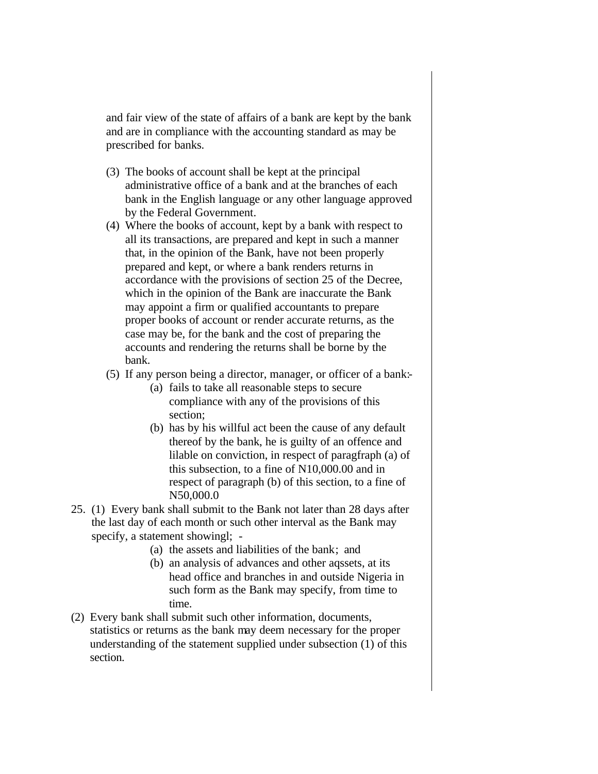and fair view of the state of affairs of a bank are kept by the bank and are in compliance with the accounting standard as may be prescribed for banks.

- (3) The books of account shall be kept at the principal administrative office of a bank and at the branches of each bank in the English language or any other language approved by the Federal Government.
- (4) Where the books of account, kept by a bank with respect to all its transactions, are prepared and kept in such a manner that, in the opinion of the Bank, have not been properly prepared and kept, or where a bank renders returns in accordance with the provisions of section 25 of the Decree, which in the opinion of the Bank are inaccurate the Bank may appoint a firm or qualified accountants to prepare proper books of account or render accurate returns, as the case may be, for the bank and the cost of preparing the accounts and rendering the returns shall be borne by the bank.
- (5) If any person being a director, manager, or officer of a bank:-
	- (a) fails to take all reasonable steps to secure compliance with any of the provisions of this section;
	- (b) has by his willful act been the cause of any default thereof by the bank, he is guilty of an offence and lilable on conviction, in respect of paragfraph (a) of this subsection, to a fine of N10,000.00 and in respect of paragraph (b) of this section, to a fine of N50,000.0
- 25. (1) Every bank shall submit to the Bank not later than 28 days after the last day of each month or such other interval as the Bank may specify, a statement showingl; -
	- (a) the assets and liabilities of the bank; and
	- (b) an analysis of advances and other aqssets, at its head office and branches in and outside Nigeria in such form as the Bank may specify, from time to time.
- (2) Every bank shall submit such other information, documents, statistics or returns as the bank may deem necessary for the proper understanding of the statement supplied under subsection (1) of this section.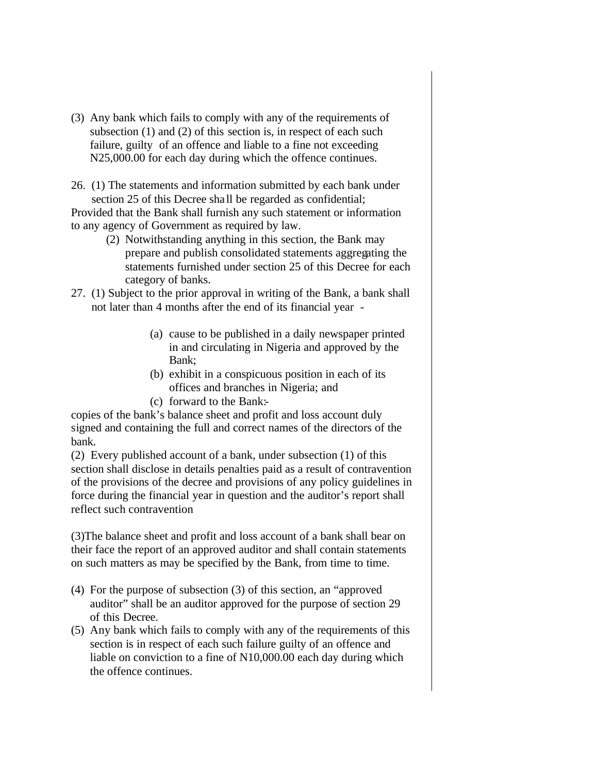- (3) Any bank which fails to comply with any of the requirements of subsection (1) and (2) of this section is, in respect of each such failure, guilty of an offence and liable to a fine not exceeding N25,000.00 for each day during which the offence continues.
- 26. (1) The statements and information submitted by each bank under section 25 of this Decree sha ll be regarded as confidential;

Provided that the Bank shall furnish any such statement or information to any agency of Government as required by law.

- (2) Notwithstanding anything in this section, the Bank may prepare and publish consolidated statements aggregating the statements furnished under section 25 of this Decree for each category of banks.
- 27. (1) Subject to the prior approval in writing of the Bank, a bank shall not later than 4 months after the end of its financial year -
	- (a) cause to be published in a daily newspaper printed in and circulating in Nigeria and approved by the Bank;
	- (b) exhibit in a conspicuous position in each of its offices and branches in Nigeria; and
	- (c) forward to the Bank:-

copies of the bank's balance sheet and profit and loss account duly signed and containing the full and correct names of the directors of the bank.

(2) Every published account of a bank, under subsection (1) of this section shall disclose in details penalties paid as a result of contravention of the provisions of the decree and provisions of any policy guidelines in force during the financial year in question and the auditor's report shall reflect such contravention

(3)The balance sheet and profit and loss account of a bank shall bear on their face the report of an approved auditor and shall contain statements on such matters as may be specified by the Bank, from time to time.

- (4) For the purpose of subsection (3) of this section, an "approved auditor" shall be an auditor approved for the purpose of section 29 of this Decree.
- (5) Any bank which fails to comply with any of the requirements of this section is in respect of each such failure guilty of an offence and liable on conviction to a fine of N10,000.00 each day during which the offence continues.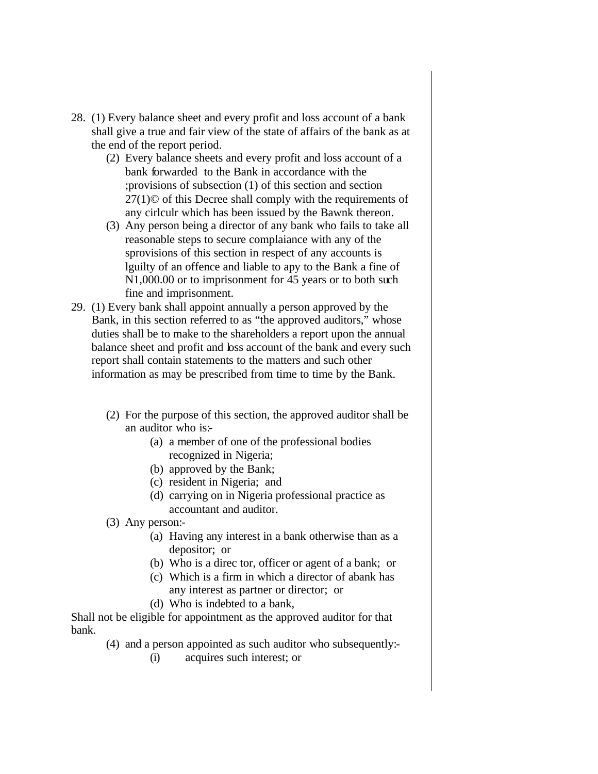- 28. (1) Every balance sheet and every profit and loss account of a bank shall give a true and fair view of the state of affairs of the bank as at the end of the report period.
	- (2) Every balance sheets and every profit and loss account of a bank forwarded to the Bank in accordance with the ;provisions of subsection (1) of this section and section 27(1)© of this Decree shall comply with the requirements of any cirlculr which has been issued by the Bawnk thereon.
	- (3) Any person being a director of any bank who fails to take all reasonable steps to secure complaiance with any of the sprovisions of this section in respect of any accounts is lguilty of an offence and liable to apy to the Bank a fine of N1,000.00 or to imprisonment for 45 years or to both such fine and imprisonment.
- 29. (1) Every bank shall appoint annually a person approved by the Bank, in this section referred to as "the approved auditors," whose duties shall be to make to the shareholders a report upon the annual balance sheet and profit and loss account of the bank and every such report shall contain statements to the matters and such other information as may be prescribed from time to time by the Bank.
	- (2) For the purpose of this section, the approved auditor shall be an auditor who is:-
		- (a) a member of one of the professional bodies recognized in Nigeria;
		- (b) approved by the Bank;
		- (c) resident in Nigeria; and
		- (d) carrying on in Nigeria professional practice as accountant and auditor.
	- (3) Any person:-
		- (a) Having any interest in a bank otherwise than as a depositor; or
		- (b) Who is a direc tor, officer or agent of a bank; or
		- (c) Which is a firm in which a director of abank has any interest as partner or director; or
		- (d) Who is indebted to a bank,

Shall not be eligible for appointment as the approved auditor for that bank.

- (4) and a person appointed as such auditor who subsequently:-
	- (i) acquires such interest; or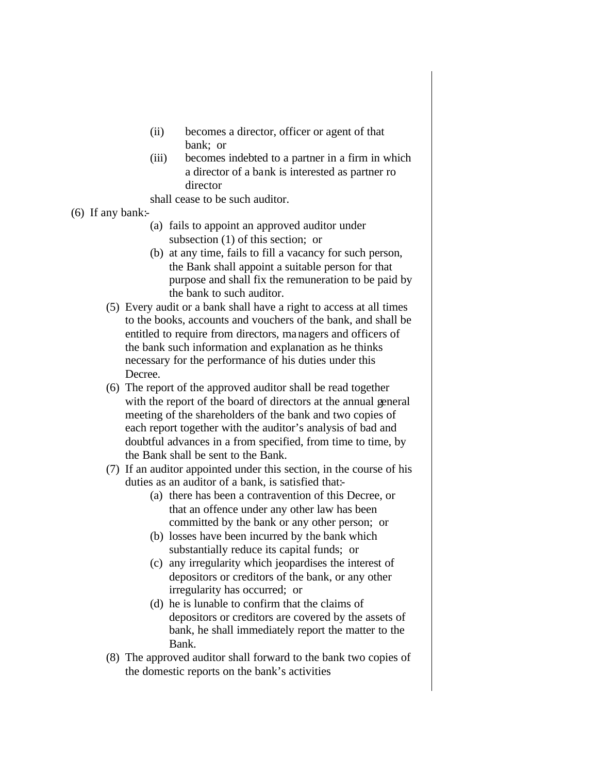- (ii) becomes a director, officer or agent of that bank; or
- (iii) becomes indebted to a partner in a firm in which a director of a bank is interested as partner ro director

shall cease to be such auditor.

- (6) If any bank:-
	- (a) fails to appoint an approved auditor under subsection (1) of this section; or
	- (b) at any time, fails to fill a vacancy for such person, the Bank shall appoint a suitable person for that purpose and shall fix the remuneration to be paid by the bank to such auditor.
	- (5) Every audit or a bank shall have a right to access at all times to the books, accounts and vouchers of the bank, and shall be entitled to require from directors, managers and officers of the bank such information and explanation as he thinks necessary for the performance of his duties under this Decree.
	- (6) The report of the approved auditor shall be read together with the report of the board of directors at the annual general meeting of the shareholders of the bank and two copies of each report together with the auditor's analysis of bad and doubtful advances in a from specified, from time to time, by the Bank shall be sent to the Bank.
	- (7) If an auditor appointed under this section, in the course of his duties as an auditor of a bank, is satisfied that:-
		- (a) there has been a contravention of this Decree, or that an offence under any other law has been committed by the bank or any other person; or
		- (b) losses have been incurred by the bank which substantially reduce its capital funds; or
		- (c) any irregularity which jeopardises the interest of depositors or creditors of the bank, or any other irregularity has occurred; or
		- (d) he is lunable to confirm that the claims of depositors or creditors are covered by the assets of bank, he shall immediately report the matter to the Bank.
	- (8) The approved auditor shall forward to the bank two copies of the domestic reports on the bank's activities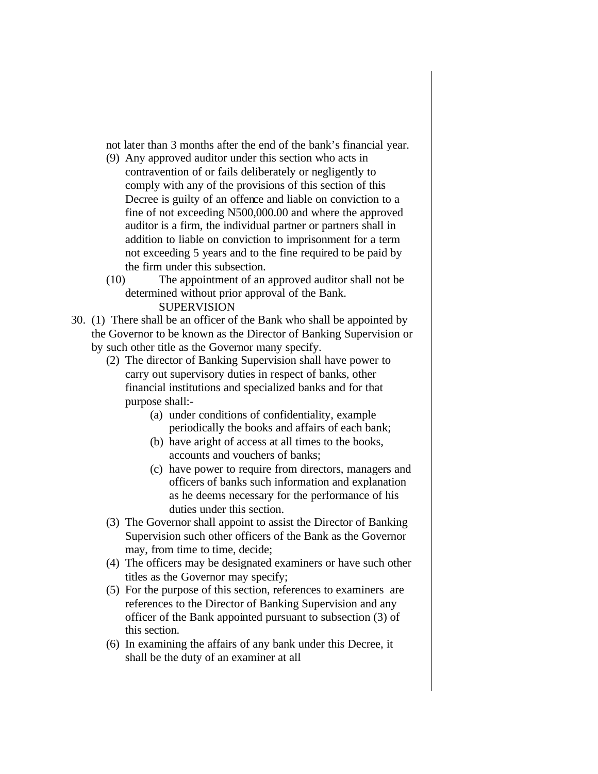not later than 3 months after the end of the bank's financial year.

- (9) Any approved auditor under this section who acts in contravention of or fails deliberately or negligently to comply with any of the provisions of this section of this Decree is guilty of an offence and liable on conviction to a fine of not exceeding N500,000.00 and where the approved auditor is a firm, the individual partner or partners shall in addition to liable on conviction to imprisonment for a term not exceeding 5 years and to the fine required to be paid by the firm under this subsection.
- (10) The appointment of an approved auditor shall not be determined without prior approval of the Bank. SUPERVISION
- 30. (1) There shall be an officer of the Bank who shall be appointed by the Governor to be known as the Director of Banking Supervision or by such other title as the Governor many specify.
	- (2) The director of Banking Supervision shall have power to carry out supervisory duties in respect of banks, other financial institutions and specialized banks and for that purpose shall:-
		- (a) under conditions of confidentiality, example periodically the books and affairs of each bank;
		- (b) have aright of access at all times to the books, accounts and vouchers of banks;
		- (c) have power to require from directors, managers and officers of banks such information and explanation as he deems necessary for the performance of his duties under this section.
	- (3) The Governor shall appoint to assist the Director of Banking Supervision such other officers of the Bank as the Governor may, from time to time, decide;
	- (4) The officers may be designated examiners or have such other titles as the Governor may specify;
	- (5) For the purpose of this section, references to examiners are references to the Director of Banking Supervision and any officer of the Bank appointed pursuant to subsection (3) of this section.
	- (6) In examining the affairs of any bank under this Decree, it shall be the duty of an examiner at all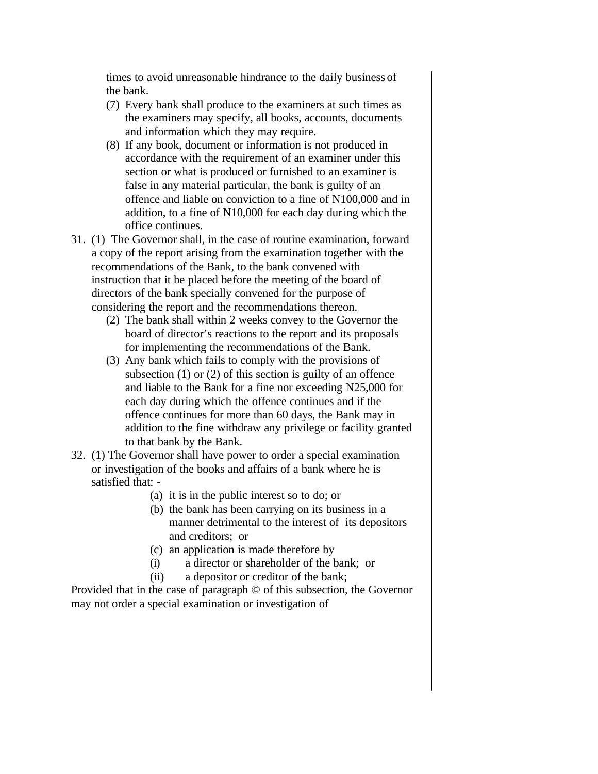times to avoid unreasonable hindrance to the daily business of the bank.

- (7) Every bank shall produce to the examiners at such times as the examiners may specify, all books, accounts, documents and information which they may require.
- (8) If any book, document or information is not produced in accordance with the requirement of an examiner under this section or what is produced or furnished to an examiner is false in any material particular, the bank is guilty of an offence and liable on conviction to a fine of N100,000 and in addition, to a fine of N10,000 for each day during which the office continues.
- 31. (1) The Governor shall, in the case of routine examination, forward a copy of the report arising from the examination together with the recommendations of the Bank, to the bank convened with instruction that it be placed before the meeting of the board of directors of the bank specially convened for the purpose of considering the report and the recommendations thereon.
	- (2) The bank shall within 2 weeks convey to the Governor the board of director's reactions to the report and its proposals for implementing the recommendations of the Bank.
	- (3) Any bank which fails to comply with the provisions of subsection (1) or (2) of this section is guilty of an offence and liable to the Bank for a fine nor exceeding N25,000 for each day during which the offence continues and if the offence continues for more than 60 days, the Bank may in addition to the fine withdraw any privilege or facility granted to that bank by the Bank.
- 32. (1) The Governor shall have power to order a special examination or investigation of the books and affairs of a bank where he is satisfied that: -
	- (a) it is in the public interest so to do; or
	- (b) the bank has been carrying on its business in a manner detrimental to the interest of its depositors and creditors; or
	- (c) an application is made therefore by
	- (i) a director or shareholder of the bank; or
	- (ii) a depositor or creditor of the bank;

Provided that in the case of paragraph © of this subsection, the Governor may not order a special examination or investigation of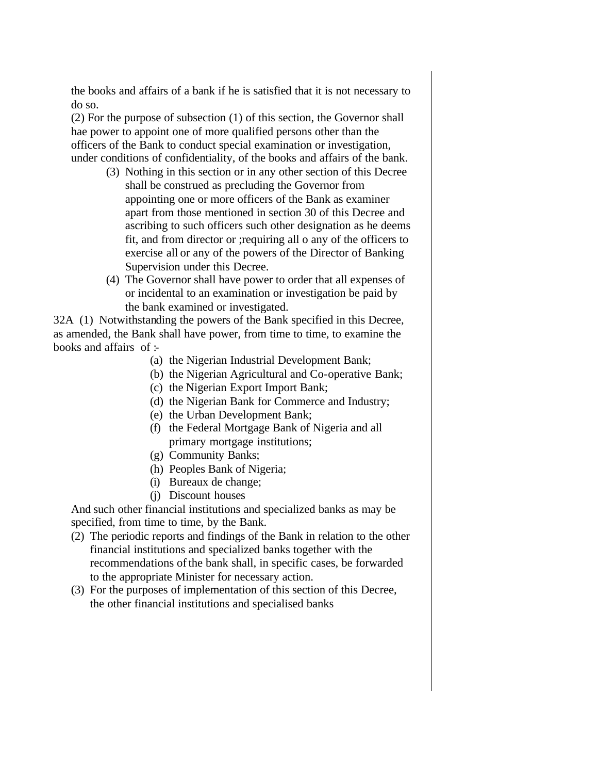the books and affairs of a bank if he is satisfied that it is not necessary to do so.

(2) For the purpose of subsection (1) of this section, the Governor shall hae power to appoint one of more qualified persons other than the officers of the Bank to conduct special examination or investigation, under conditions of confidentiality, of the books and affairs of the bank.

- (3) Nothing in this section or in any other section of this Decree shall be construed as precluding the Governor from appointing one or more officers of the Bank as examiner apart from those mentioned in section 30 of this Decree and ascribing to such officers such other designation as he deems fit, and from director or ;requiring all o any of the officers to exercise all or any of the powers of the Director of Banking Supervision under this Decree.
- (4) The Governor shall have power to order that all expenses of or incidental to an examination or investigation be paid by the bank examined or investigated.

32A (1) Notwithstanding the powers of the Bank specified in this Decree, as amended, the Bank shall have power, from time to time, to examine the books and affairs of  $\pm$ 

- (a) the Nigerian Industrial Development Bank;
- (b) the Nigerian Agricultural and Co-operative Bank;
- (c) the Nigerian Export Import Bank;
- (d) the Nigerian Bank for Commerce and Industry;
- (e) the Urban Development Bank;
- (f) the Federal Mortgage Bank of Nigeria and all primary mortgage institutions;
- (g) Community Banks;
- (h) Peoples Bank of Nigeria;
- (i) Bureaux de change;
- (j) Discount houses

And such other financial institutions and specialized banks as may be specified, from time to time, by the Bank.

- (2) The periodic reports and findings of the Bank in relation to the other financial institutions and specialized banks together with the recommendations of the bank shall, in specific cases, be forwarded to the appropriate Minister for necessary action.
- (3) For the purposes of implementation of this section of this Decree, the other financial institutions and specialised banks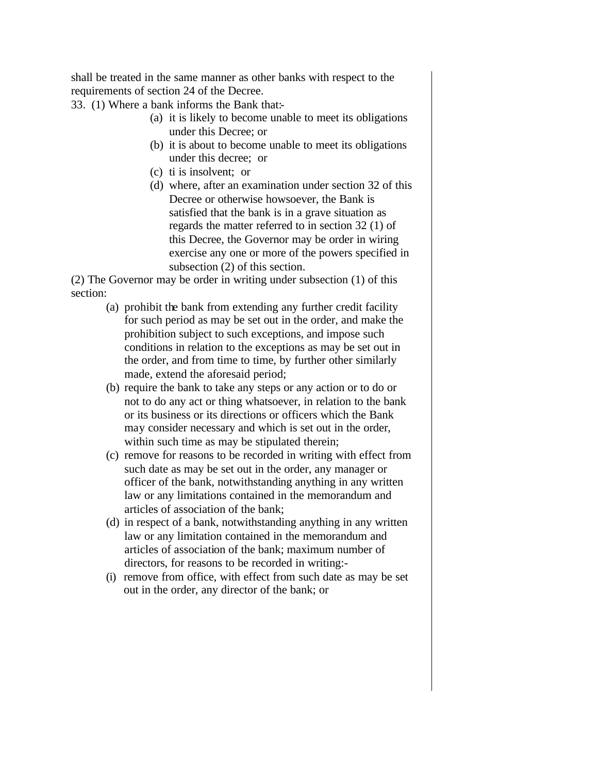shall be treated in the same manner as other banks with respect to the requirements of section 24 of the Decree.

33. (1) Where a bank informs the Bank that:-

- (a) it is likely to become unable to meet its obligations under this Decree; or
- (b) it is about to become unable to meet its obligations under this decree; or
- (c) ti is insolvent; or
- (d) where, after an examination under section 32 of this Decree or otherwise howsoever, the Bank is satisfied that the bank is in a grave situation as regards the matter referred to in section 32 (1) of this Decree, the Governor may be order in wiring exercise any one or more of the powers specified in subsection (2) of this section.

(2) The Governor may be order in writing under subsection (1) of this section:

- (a) prohibit the bank from extending any further credit facility for such period as may be set out in the order, and make the prohibition subject to such exceptions, and impose such conditions in relation to the exceptions as may be set out in the order, and from time to time, by further other similarly made, extend the aforesaid period;
- (b) require the bank to take any steps or any action or to do or not to do any act or thing whatsoever, in relation to the bank or its business or its directions or officers which the Bank may consider necessary and which is set out in the order, within such time as may be stipulated therein;
- (c) remove for reasons to be recorded in writing with effect from such date as may be set out in the order, any manager or officer of the bank, notwithstanding anything in any written law or any limitations contained in the memorandum and articles of association of the bank;
- (d) in respect of a bank, notwithstanding anything in any written law or any limitation contained in the memorandum and articles of association of the bank; maximum number of directors, for reasons to be recorded in writing:-
- (i) remove from office, with effect from such date as may be set out in the order, any director of the bank; or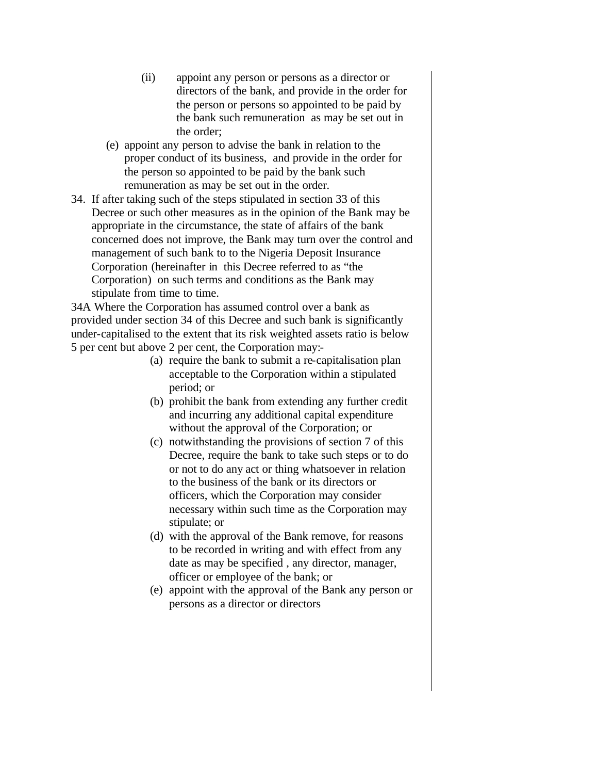- (ii) appoint any person or persons as a director or directors of the bank, and provide in the order for the person or persons so appointed to be paid by the bank such remuneration as may be set out in the order;
- (e) appoint any person to advise the bank in relation to the proper conduct of its business, and provide in the order for the person so appointed to be paid by the bank such remuneration as may be set out in the order.
- 34. If after taking such of the steps stipulated in section 33 of this Decree or such other measures as in the opinion of the Bank may be appropriate in the circumstance, the state of affairs of the bank concerned does not improve, the Bank may turn over the control and management of such bank to to the Nigeria Deposit Insurance Corporation (hereinafter in this Decree referred to as "the Corporation) on such terms and conditions as the Bank may stipulate from time to time.

34A Where the Corporation has assumed control over a bank as provided under section 34 of this Decree and such bank is significantly under-capitalised to the extent that its risk weighted assets ratio is below 5 per cent but above 2 per cent, the Corporation may:-

- (a) require the bank to submit a re-capitalisation plan acceptable to the Corporation within a stipulated period; or
- (b) prohibit the bank from extending any further credit and incurring any additional capital expenditure without the approval of the Corporation; or
- (c) notwithstanding the provisions of section 7 of this Decree, require the bank to take such steps or to do or not to do any act or thing whatsoever in relation to the business of the bank or its directors or officers, which the Corporation may consider necessary within such time as the Corporation may stipulate; or
- (d) with the approval of the Bank remove, for reasons to be recorded in writing and with effect from any date as may be specified , any director, manager, officer or employee of the bank; or
- (e) appoint with the approval of the Bank any person or persons as a director or directors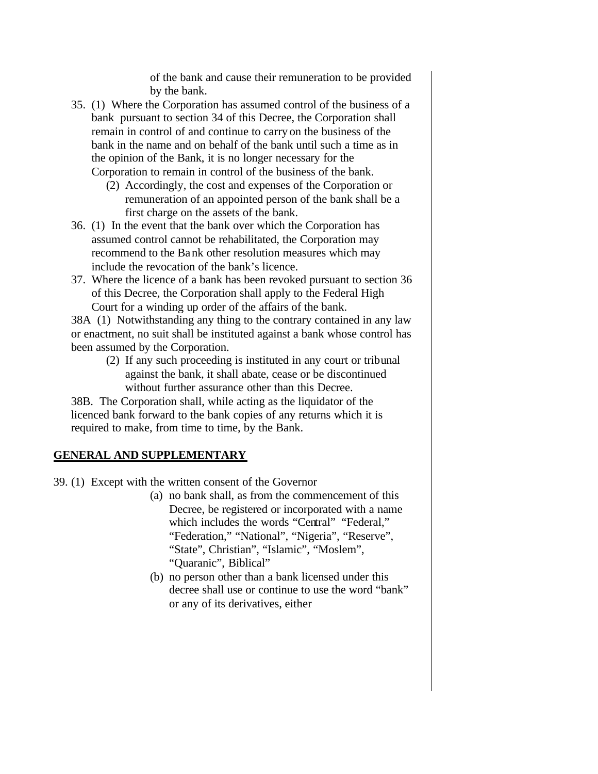of the bank and cause their remuneration to be provided by the bank.

- 35. (1) Where the Corporation has assumed control of the business of a bank pursuant to section 34 of this Decree, the Corporation shall remain in control of and continue to carry on the business of the bank in the name and on behalf of the bank until such a time as in the opinion of the Bank, it is no longer necessary for the Corporation to remain in control of the business of the bank.
	- (2) Accordingly, the cost and expenses of the Corporation or remuneration of an appointed person of the bank shall be a first charge on the assets of the bank.
- 36. (1) In the event that the bank over which the Corporation has assumed control cannot be rehabilitated, the Corporation may recommend to the Bank other resolution measures which may include the revocation of the bank's licence.
- 37. Where the licence of a bank has been revoked pursuant to section 36 of this Decree, the Corporation shall apply to the Federal High Court for a winding up order of the affairs of the bank.

38A (1) Notwithstanding any thing to the contrary contained in any law or enactment, no suit shall be instituted against a bank whose control has been assumed by the Corporation.

(2) If any such proceeding is instituted in any court or tribunal against the bank, it shall abate, cease or be discontinued without further assurance other than this Decree.

38B. The Corporation shall, while acting as the liquidator of the licenced bank forward to the bank copies of any returns which it is required to make, from time to time, by the Bank.

# **GENERAL AND SUPPLEMENTARY**

39. (1) Except with the written consent of the Governor

- (a) no bank shall, as from the commencement of this Decree, be registered or incorporated with a name which includes the words "Central" "Federal," "Federation," "National", "Nigeria", "Reserve", "State", Christian", "Islamic", "Moslem", "Quaranic", Biblical"
- (b) no person other than a bank licensed under this decree shall use or continue to use the word "bank" or any of its derivatives, either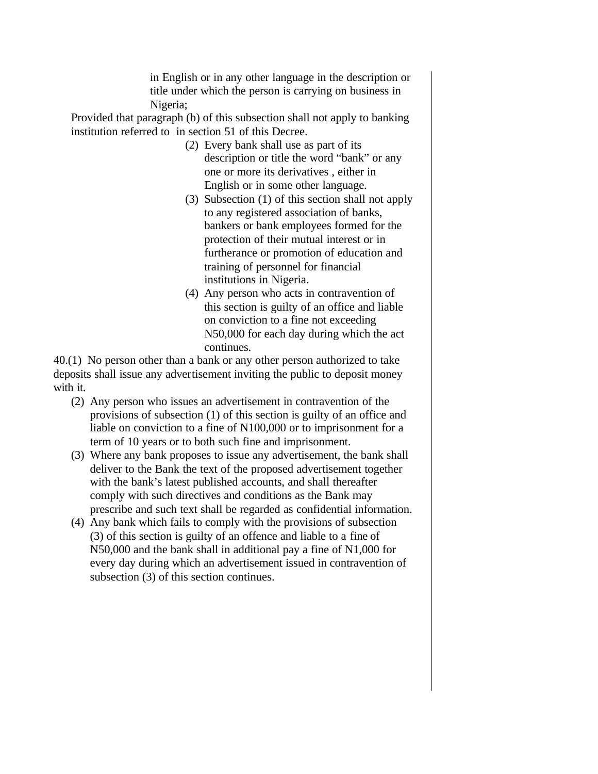in English or in any other language in the description or title under which the person is carrying on business in Nigeria;

Provided that paragraph (b) of this subsection shall not apply to banking institution referred to in section 51 of this Decree.

- (2) Every bank shall use as part of its description or title the word "bank" or any one or more its derivatives , either in English or in some other language.
- (3) Subsection (1) of this section shall not apply to any registered association of banks, bankers or bank employees formed for the protection of their mutual interest or in furtherance or promotion of education and training of personnel for financial institutions in Nigeria.
- (4) Any person who acts in contravention of this section is guilty of an office and liable on conviction to a fine not exceeding N50,000 for each day during which the act continues.

40.(1) No person other than a bank or any other person authorized to take deposits shall issue any advertisement inviting the public to deposit money with it.

- (2) Any person who issues an advertisement in contravention of the provisions of subsection (1) of this section is guilty of an office and liable on conviction to a fine of N100,000 or to imprisonment for a term of 10 years or to both such fine and imprisonment.
- (3) Where any bank proposes to issue any advertisement, the bank shall deliver to the Bank the text of the proposed advertisement together with the bank's latest published accounts, and shall thereafter comply with such directives and conditions as the Bank may prescribe and such text shall be regarded as confidential information.
- (4) Any bank which fails to comply with the provisions of subsection (3) of this section is guilty of an offence and liable to a fine of N50,000 and the bank shall in additional pay a fine of N1,000 for every day during which an advertisement issued in contravention of subsection (3) of this section continues.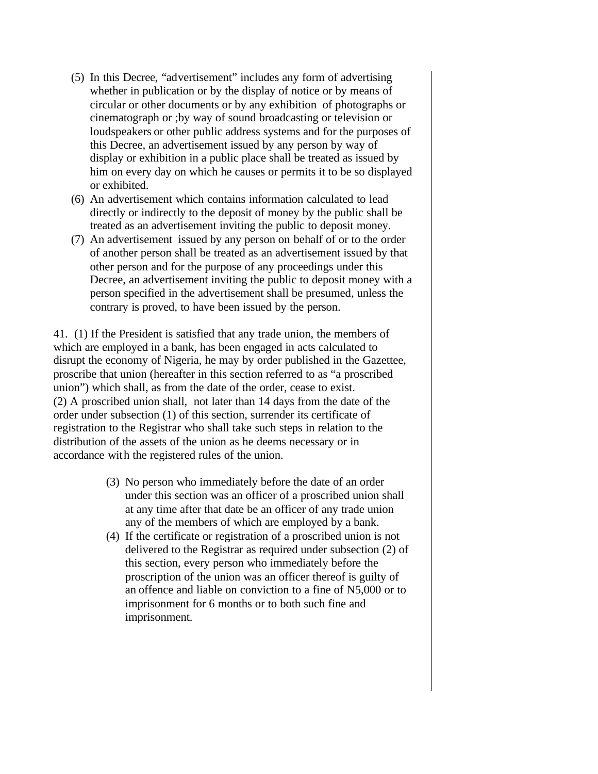- (5) In this Decree, "advertisement" includes any form of advertising whether in publication or by the display of notice or by means of circular or other documents or by any exhibition of photographs or cinematograph or ;by way of sound broadcasting or television or loudspeakers or other public address systems and for the purposes of this Decree, an advertisement issued by any person by way of display or exhibition in a public place shall be treated as issued by him on every day on which he causes or permits it to be so displayed or exhibited.
- (6) An advertisement which contains information calculated to lead directly or indirectly to the deposit of money by the public shall be treated as an advertisement inviting the public to deposit money.
- (7) An advertisement issued by any person on behalf of or to the order of another person shall be treated as an advertisement issued by that other person and for the purpose of any proceedings under this Decree, an advertisement inviting the public to deposit money with a person specified in the advertisement shall be presumed, unless the contrary is proved, to have been issued by the person.

41. (1) If the President is satisfied that any trade union, the members of which are employed in a bank, has been engaged in acts calculated to disrupt the economy of Nigeria, he may by order published in the Gazettee, proscribe that union (hereafter in this section referred to as "a proscribed union") which shall, as from the date of the order, cease to exist. (2) A proscribed union shall, not later than 14 days from the date of the order under subsection (1) of this section, surrender its certificate of registration to the Registrar who shall take such steps in relation to the distribution of the assets of the union as he deems necessary or in accordance with the registered rules of the union.

- (3) No person who immediately before the date of an order under this section was an officer of a proscribed union shall at any time after that date be an officer of any trade union any of the members of which are employed by a bank.
- (4) If the certificate or registration of a proscribed union is not delivered to the Registrar as required under subsection (2) of this section, every person who immediately before the proscription of the union was an officer thereof is guilty of an offence and liable on conviction to a fine of N5,000 or to imprisonment for 6 months or to both such fine and imprisonment.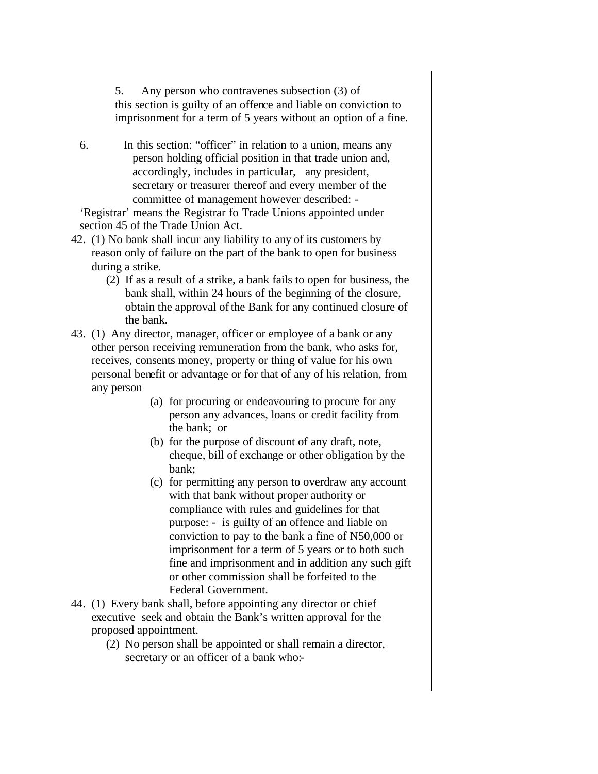5. Any person who contravenes subsection (3) of this section is guilty of an offence and liable on conviction to imprisonment for a term of 5 years without an option of a fine.

6. In this section: "officer" in relation to a union, means any person holding official position in that trade union and, accordingly, includes in particular, any president, secretary or treasurer thereof and every member of the committee of management however described: -

'Registrar' means the Registrar fo Trade Unions appointed under section 45 of the Trade Union Act.

- 42. (1) No bank shall incur any liability to any of its customers by reason only of failure on the part of the bank to open for business during a strike.
	- (2) If as a result of a strike, a bank fails to open for business, the bank shall, within 24 hours of the beginning of the closure, obtain the approval of the Bank for any continued closure of the bank.
- 43. (1) Any director, manager, officer or employee of a bank or any other person receiving remuneration from the bank, who asks for, receives, consents money, property or thing of value for his own personal benefit or advantage or for that of any of his relation, from any person
	- (a) for procuring or endeavouring to procure for any person any advances, loans or credit facility from the bank; or
	- (b) for the purpose of discount of any draft, note, cheque, bill of exchange or other obligation by the bank;
	- (c) for permitting any person to overdraw any account with that bank without proper authority or compliance with rules and guidelines for that purpose: - is guilty of an offence and liable on conviction to pay to the bank a fine of N50,000 or imprisonment for a term of 5 years or to both such fine and imprisonment and in addition any such gift or other commission shall be forfeited to the Federal Government.
- 44. (1) Every bank shall, before appointing any director or chief executive seek and obtain the Bank's written approval for the proposed appointment.
	- (2) No person shall be appointed or shall remain a director, secretary or an officer of a bank who:-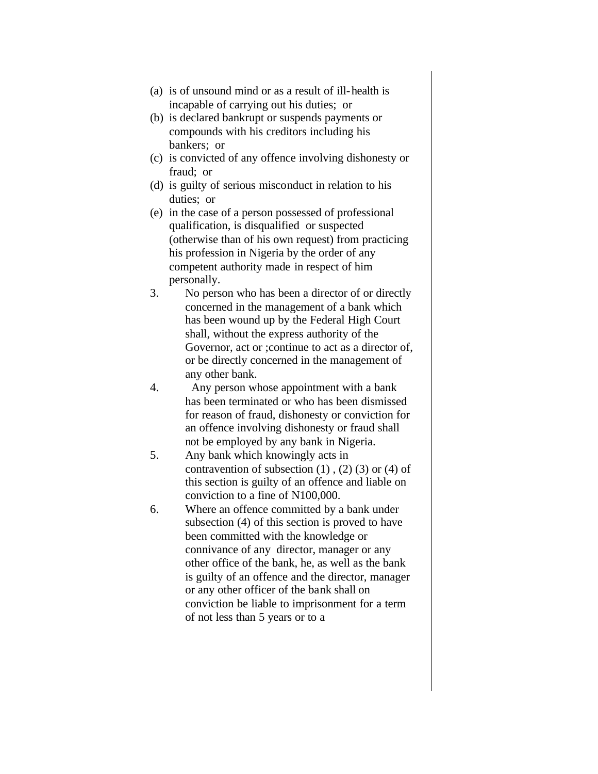- (a) is of unsound mind or as a result of ill-health is incapable of carrying out his duties; or
- (b) is declared bankrupt or suspends payments or compounds with his creditors including his bankers; or
- (c) is convicted of any offence involving dishonesty or fraud; or
- (d) is guilty of serious misconduct in relation to his duties; or
- (e) in the case of a person possessed of professional qualification, is disqualified or suspected (otherwise than of his own request) from practicing his profession in Nigeria by the order of any competent authority made in respect of him personally.
- 3. No person who has been a director of or directly concerned in the management of a bank which has been wound up by the Federal High Court shall, without the express authority of the Governor, act or ;continue to act as a director of, or be directly concerned in the management of any other bank.
- 4. Any person whose appointment with a bank has been terminated or who has been dismissed for reason of fraud, dishonesty or conviction for an offence involving dishonesty or fraud shall not be employed by any bank in Nigeria.
- 5. Any bank which knowingly acts in contravention of subsection  $(1)$ ,  $(2)$   $(3)$  or  $(4)$  of this section is guilty of an offence and liable on conviction to a fine of N100,000.
- 6. Where an offence committed by a bank under subsection (4) of this section is proved to have been committed with the knowledge or connivance of any director, manager or any other office of the bank, he, as well as the bank is guilty of an offence and the director, manager or any other officer of the bank shall on conviction be liable to imprisonment for a term of not less than 5 years or to a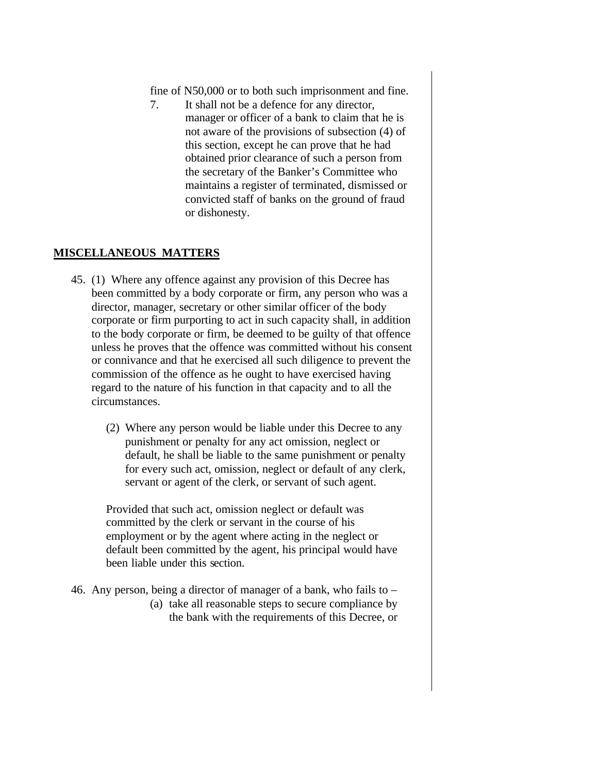fine of N50,000 or to both such imprisonment and fine.

7. It shall not be a defence for any director, manager or officer of a bank to claim that he is not aware of the provisions of subsection (4) of this section, except he can prove that he had obtained prior clearance of such a person from the secretary of the Banker's Committee who maintains a register of terminated, dismissed or convicted staff of banks on the ground of fraud or dishonesty.

# **MISCELLANEOUS MATTERS**

- 45. (1) Where any offence against any provision of this Decree has been committed by a body corporate or firm, any person who was a director, manager, secretary or other similar officer of the body corporate or firm purporting to act in such capacity shall, in addition to the body corporate or firm, be deemed to be guilty of that offence unless he proves that the offence was committed without his consent or connivance and that he exercised all such diligence to prevent the commission of the offence as he ought to have exercised having regard to the nature of his function in that capacity and to all the circumstances.
	- (2) Where any person would be liable under this Decree to any punishment or penalty for any act omission, neglect or default, he shall be liable to the same punishment or penalty for every such act, omission, neglect or default of any clerk, servant or agent of the clerk, or servant of such agent.

Provided that such act, omission neglect or default was committed by the clerk or servant in the course of his employment or by the agent where acting in the neglect or default been committed by the agent, his principal would have been liable under this section.

- 46. Any person, being a director of manager of a bank, who fails to
	- (a) take all reasonable steps to secure compliance by the bank with the requirements of this Decree, or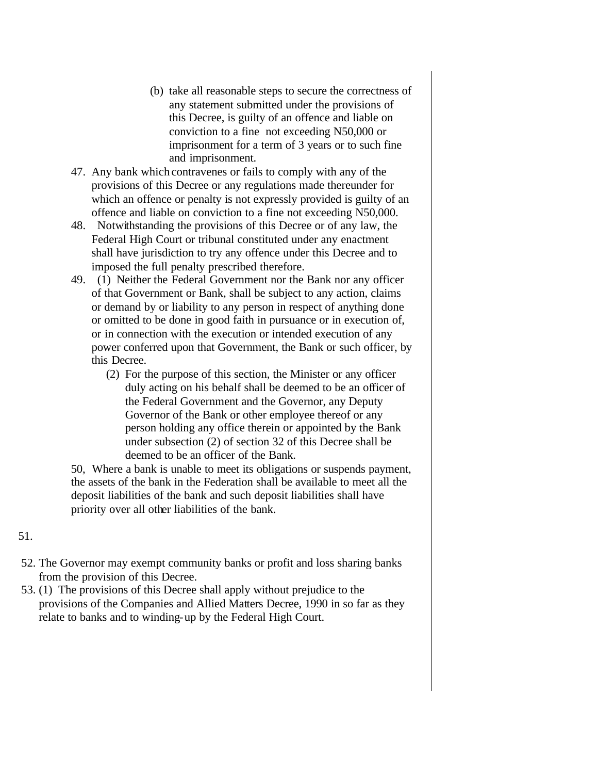- (b) take all reasonable steps to secure the correctness of any statement submitted under the provisions of this Decree, is guilty of an offence and liable on conviction to a fine not exceeding N50,000 or imprisonment for a term of 3 years or to such fine and imprisonment.
- 47. Any bank which contravenes or fails to comply with any of the provisions of this Decree or any regulations made thereunder for which an offence or penalty is not expressly provided is guilty of an offence and liable on conviction to a fine not exceeding N50,000.
- 48. Notwithstanding the provisions of this Decree or of any law, the Federal High Court or tribunal constituted under any enactment shall have jurisdiction to try any offence under this Decree and to imposed the full penalty prescribed therefore.
- 49. (1) Neither the Federal Government nor the Bank nor any officer of that Government or Bank, shall be subject to any action, claims or demand by or liability to any person in respect of anything done or omitted to be done in good faith in pursuance or in execution of, or in connection with the execution or intended execution of any power conferred upon that Government, the Bank or such officer, by this Decree.
	- (2) For the purpose of this section, the Minister or any officer duly acting on his behalf shall be deemed to be an officer of the Federal Government and the Governor, any Deputy Governor of the Bank or other employee thereof or any person holding any office therein or appointed by the Bank under subsection (2) of section 32 of this Decree shall be deemed to be an officer of the Bank.

50, Where a bank is unable to meet its obligations or suspends payment, the assets of the bank in the Federation shall be available to meet all the deposit liabilities of the bank and such deposit liabilities shall have priority over all other liabilities of the bank.

## 51.

- 52. The Governor may exempt community banks or profit and loss sharing banks from the provision of this Decree.
- 53. (1) The provisions of this Decree shall apply without prejudice to the provisions of the Companies and Allied Matters Decree, 1990 in so far as they relate to banks and to winding-up by the Federal High Court.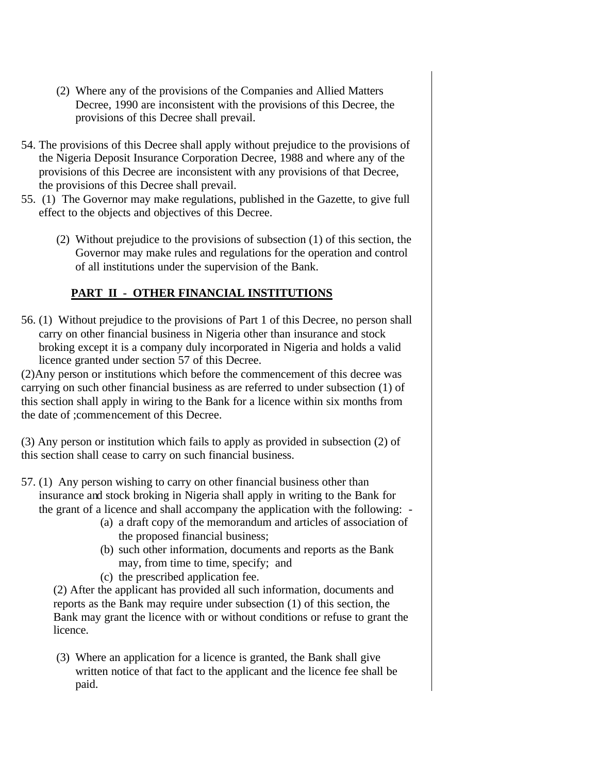- (2) Where any of the provisions of the Companies and Allied Matters Decree, 1990 are inconsistent with the provisions of this Decree, the provisions of this Decree shall prevail.
- 54. The provisions of this Decree shall apply without prejudice to the provisions of the Nigeria Deposit Insurance Corporation Decree, 1988 and where any of the provisions of this Decree are inconsistent with any provisions of that Decree, the provisions of this Decree shall prevail.
- 55. (1) The Governor may make regulations, published in the Gazette, to give full effect to the objects and objectives of this Decree.
	- (2) Without prejudice to the provisions of subsection (1) of this section, the Governor may make rules and regulations for the operation and control of all institutions under the supervision of the Bank.

# **PART II - OTHER FINANCIAL INSTITUTIONS**

56. (1) Without prejudice to the provisions of Part 1 of this Decree, no person shall carry on other financial business in Nigeria other than insurance and stock broking except it is a company duly incorporated in Nigeria and holds a valid licence granted under section 57 of this Decree.

(2)Any person or institutions which before the commencement of this decree was carrying on such other financial business as are referred to under subsection (1) of this section shall apply in wiring to the Bank for a licence within six months from the date of ;commencement of this Decree.

(3) Any person or institution which fails to apply as provided in subsection (2) of this section shall cease to carry on such financial business.

57. (1) Any person wishing to carry on other financial business other than insurance and stock broking in Nigeria shall apply in writing to the Bank for the grant of a licence and shall accompany the application with the following: -

- (a) a draft copy of the memorandum and articles of association of the proposed financial business;
- (b) such other information, documents and reports as the Bank may, from time to time, specify; and
- (c) the prescribed application fee.

(2) After the applicant has provided all such information, documents and reports as the Bank may require under subsection (1) of this section, the Bank may grant the licence with or without conditions or refuse to grant the licence.

(3) Where an application for a licence is granted, the Bank shall give written notice of that fact to the applicant and the licence fee shall be paid.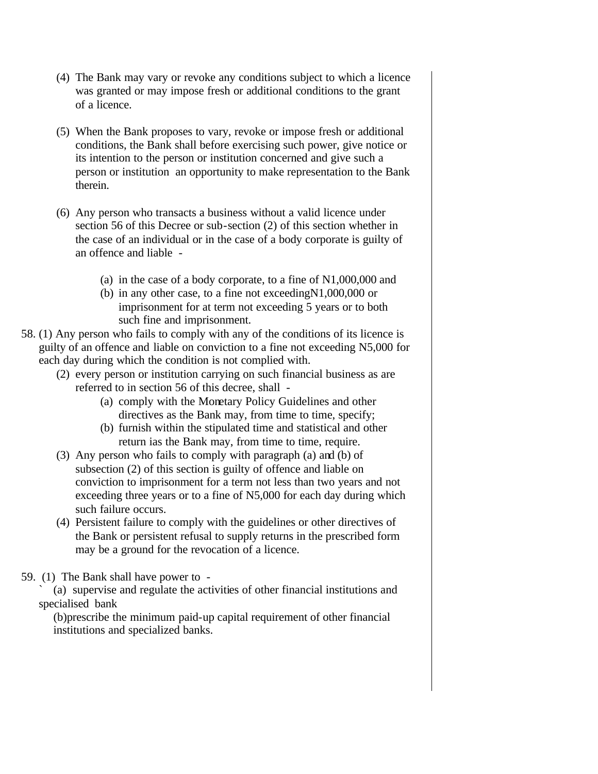- (4) The Bank may vary or revoke any conditions subject to which a licence was granted or may impose fresh or additional conditions to the grant of a licence.
- (5) When the Bank proposes to vary, revoke or impose fresh or additional conditions, the Bank shall before exercising such power, give notice or its intention to the person or institution concerned and give such a person or institution an opportunity to make representation to the Bank therein.
- (6) Any person who transacts a business without a valid licence under section 56 of this Decree or sub-section (2) of this section whether in the case of an individual or in the case of a body corporate is guilty of an offence and liable -
	- (a) in the case of a body corporate, to a fine of N1,000,000 and
	- (b) in any other case, to a fine not exceedingN1,000,000 or imprisonment for at term not exceeding 5 years or to both such fine and imprisonment.
- 58. (1) Any person who fails to comply with any of the conditions of its licence is guilty of an offence and liable on conviction to a fine not exceeding N5,000 for each day during which the condition is not complied with.
	- (2) every person or institution carrying on such financial business as are referred to in section 56 of this decree, shall -
		- (a) comply with the Monetary Policy Guidelines and other directives as the Bank may, from time to time, specify;
		- (b) furnish within the stipulated time and statistical and other return ias the Bank may, from time to time, require.
	- (3) Any person who fails to comply with paragraph (a) and (b) of subsection (2) of this section is guilty of offence and liable on conviction to imprisonment for a term not less than two years and not exceeding three years or to a fine of N5,000 for each day during which such failure occurs.
	- (4) Persistent failure to comply with the guidelines or other directives of the Bank or persistent refusal to supply returns in the prescribed form may be a ground for the revocation of a licence.

59. (1) The Bank shall have power to -

` (a) supervise and regulate the activities of other financial institutions and specialised bank

(b)prescribe the minimum paid-up capital requirement of other financial institutions and specialized banks.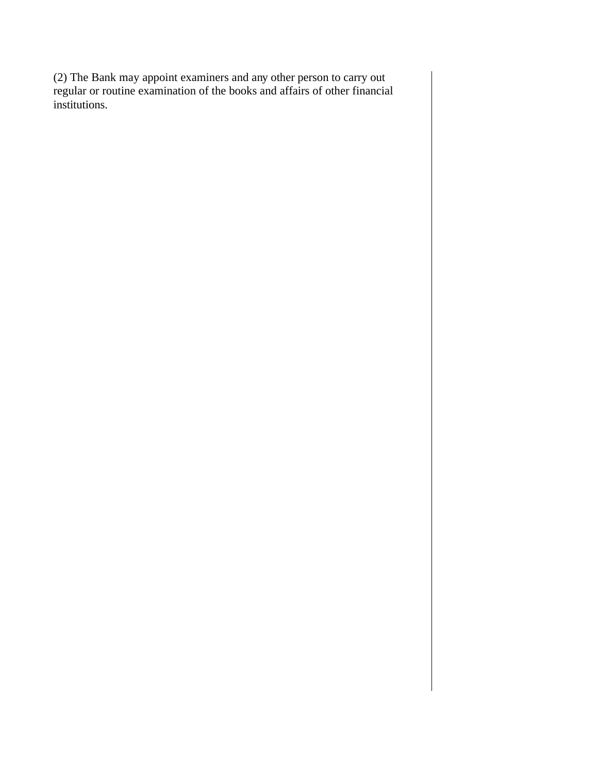(2) The Bank may appoint examiners and any other person to carry out regular or routine examination of the books and affairs of other financial institutions.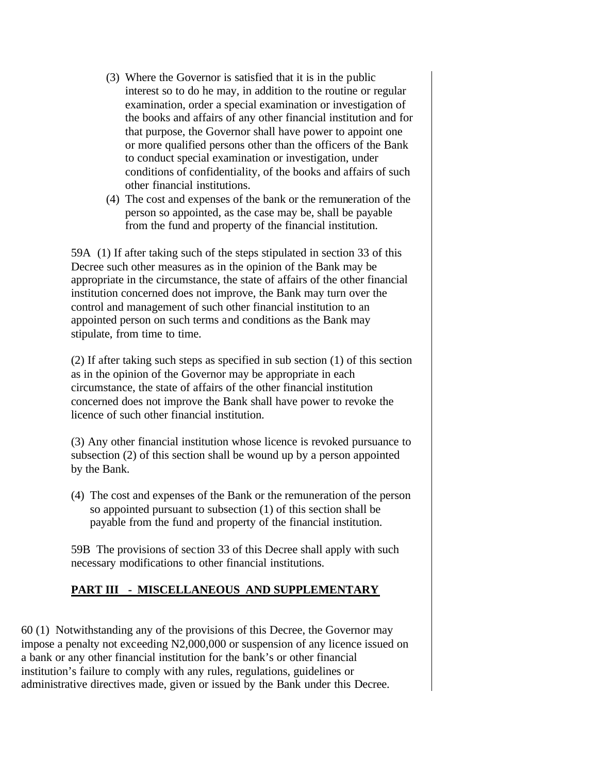- (3) Where the Governor is satisfied that it is in the public interest so to do he may, in addition to the routine or regular examination, order a special examination or investigation of the books and affairs of any other financial institution and for that purpose, the Governor shall have power to appoint one or more qualified persons other than the officers of the Bank to conduct special examination or investigation, under conditions of confidentiality, of the books and affairs of such other financial institutions.
- (4) The cost and expenses of the bank or the remuneration of the person so appointed, as the case may be, shall be payable from the fund and property of the financial institution.

59A (1) If after taking such of the steps stipulated in section 33 of this Decree such other measures as in the opinion of the Bank may be appropriate in the circumstance, the state of affairs of the other financial institution concerned does not improve, the Bank may turn over the control and management of such other financial institution to an appointed person on such terms and conditions as the Bank may stipulate, from time to time.

(2) If after taking such steps as specified in sub section (1) of this section as in the opinion of the Governor may be appropriate in each circumstance, the state of affairs of the other financial institution concerned does not improve the Bank shall have power to revoke the licence of such other financial institution.

(3) Any other financial institution whose licence is revoked pursuance to subsection (2) of this section shall be wound up by a person appointed by the Bank.

(4) The cost and expenses of the Bank or the remuneration of the person so appointed pursuant to subsection (1) of this section shall be payable from the fund and property of the financial institution.

59B The provisions of section 33 of this Decree shall apply with such necessary modifications to other financial institutions.

# **PART III - MISCELLANEOUS AND SUPPLEMENTARY**

60 (1) Notwithstanding any of the provisions of this Decree, the Governor may impose a penalty not exceeding N2,000,000 or suspension of any licence issued on a bank or any other financial institution for the bank's or other financial institution's failure to comply with any rules, regulations, guidelines or administrative directives made, given or issued by the Bank under this Decree.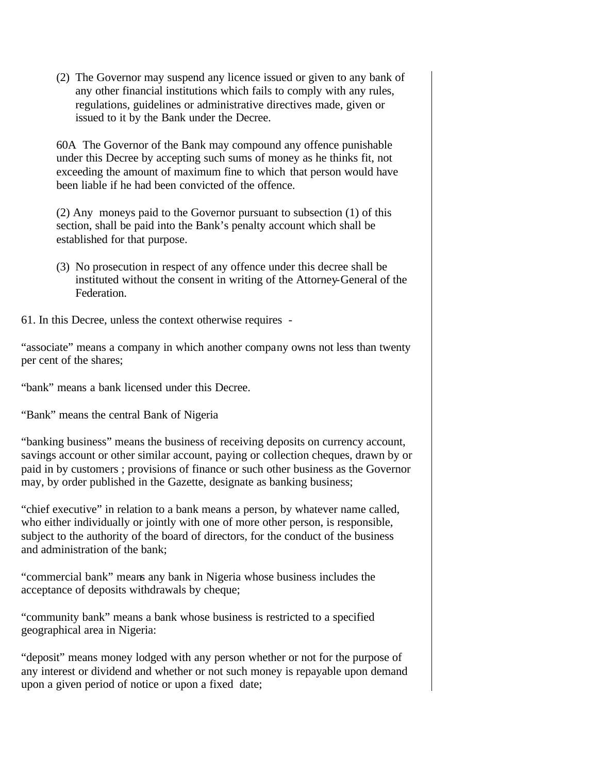(2) The Governor may suspend any licence issued or given to any bank of any other financial institutions which fails to comply with any rules, regulations, guidelines or administrative directives made, given or issued to it by the Bank under the Decree.

60A The Governor of the Bank may compound any offence punishable under this Decree by accepting such sums of money as he thinks fit, not exceeding the amount of maximum fine to which that person would have been liable if he had been convicted of the offence.

(2) Any moneys paid to the Governor pursuant to subsection (1) of this section, shall be paid into the Bank's penalty account which shall be established for that purpose.

(3) No prosecution in respect of any offence under this decree shall be instituted without the consent in writing of the Attorney-General of the Federation.

61. In this Decree, unless the context otherwise requires -

"associate" means a company in which another company owns not less than twenty per cent of the shares;

"bank" means a bank licensed under this Decree.

"Bank" means the central Bank of Nigeria

"banking business" means the business of receiving deposits on currency account, savings account or other similar account, paying or collection cheques, drawn by or paid in by customers ; provisions of finance or such other business as the Governor may, by order published in the Gazette, designate as banking business;

"chief executive" in relation to a bank means a person, by whatever name called, who either individually or jointly with one of more other person, is responsible, subject to the authority of the board of directors, for the conduct of the business and administration of the bank;

"commercial bank" means any bank in Nigeria whose business includes the acceptance of deposits withdrawals by cheque;

"community bank" means a bank whose business is restricted to a specified geographical area in Nigeria:

"deposit" means money lodged with any person whether or not for the purpose of any interest or dividend and whether or not such money is repayable upon demand upon a given period of notice or upon a fixed date;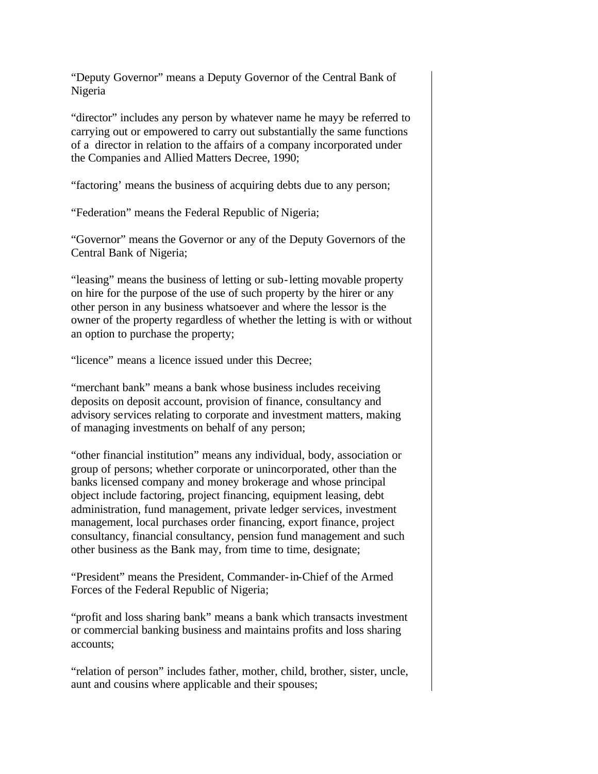"Deputy Governor" means a Deputy Governor of the Central Bank of Nigeria

"director" includes any person by whatever name he mayy be referred to carrying out or empowered to carry out substantially the same functions of a director in relation to the affairs of a company incorporated under the Companies and Allied Matters Decree, 1990;

"factoring' means the business of acquiring debts due to any person;

"Federation" means the Federal Republic of Nigeria;

"Governor" means the Governor or any of the Deputy Governors of the Central Bank of Nigeria;

"leasing" means the business of letting or sub-letting movable property on hire for the purpose of the use of such property by the hirer or any other person in any business whatsoever and where the lessor is the owner of the property regardless of whether the letting is with or without an option to purchase the property;

"licence" means a licence issued under this Decree;

"merchant bank" means a bank whose business includes receiving deposits on deposit account, provision of finance, consultancy and advisory services relating to corporate and investment matters, making of managing investments on behalf of any person;

"other financial institution" means any individual, body, association or group of persons; whether corporate or unincorporated, other than the banks licensed company and money brokerage and whose principal object include factoring, project financing, equipment leasing, debt administration, fund management, private ledger services, investment management, local purchases order financing, export finance, project consultancy, financial consultancy, pension fund management and such other business as the Bank may, from time to time, designate;

"President" means the President, Commander-in-Chief of the Armed Forces of the Federal Republic of Nigeria;

"profit and loss sharing bank" means a bank which transacts investment or commercial banking business and maintains profits and loss sharing accounts;

"relation of person" includes father, mother, child, brother, sister, uncle, aunt and cousins where applicable and their spouses;